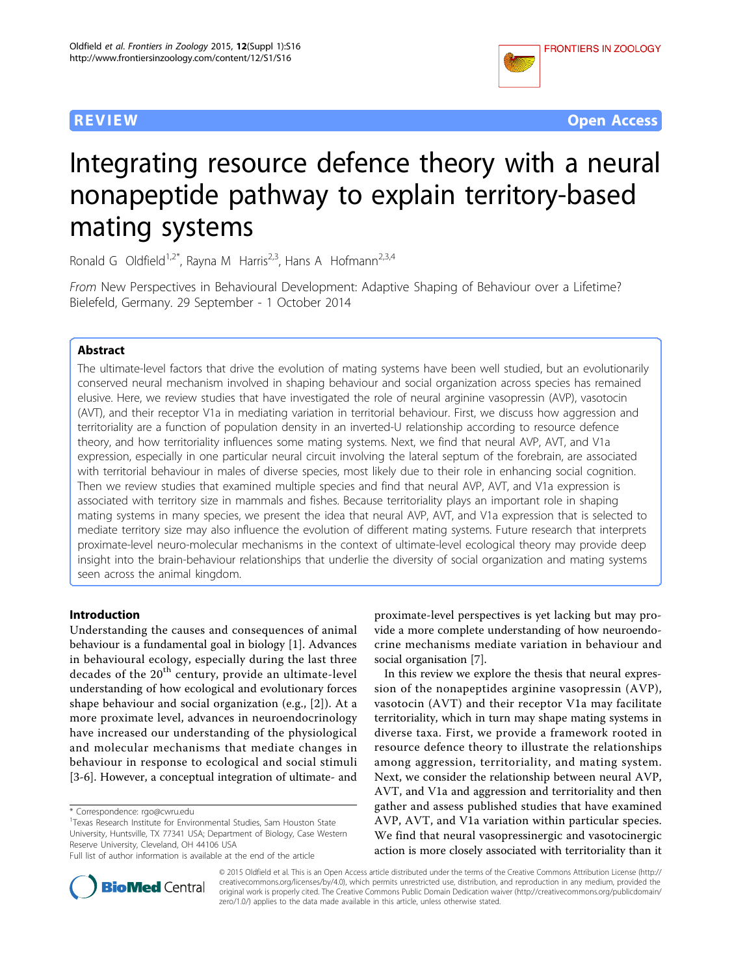

**REVIEW CONTROL** CONTROL CONTROL CONTROL CONTROL CONTROL CONTROL CONTROL CONTROL CONTROL CONTROL CONTROL CONTROL CONTROL CONTROL CONTROL CONTROL CONTROL CONTROL CONTROL CONTROL CONTROL CONTROL CONTROL CONTROL CONTROL CONTR

# Integrating resource defence theory with a neural nonapeptide pathway to explain territory-based mating systems

Ronald G Oldfield<sup>1,2\*</sup>, Rayna M Harris<sup>2,3</sup>, Hans A Hofmann<sup>2,3,4</sup>

From New Perspectives in Behavioural Development: Adaptive Shaping of Behaviour over a Lifetime? Bielefeld, Germany. 29 September - 1 October 2014

# Abstract

The ultimate-level factors that drive the evolution of mating systems have been well studied, but an evolutionarily conserved neural mechanism involved in shaping behaviour and social organization across species has remained elusive. Here, we review studies that have investigated the role of neural arginine vasopressin (AVP), vasotocin (AVT), and their receptor V1a in mediating variation in territorial behaviour. First, we discuss how aggression and territoriality are a function of population density in an inverted-U relationship according to resource defence theory, and how territoriality influences some mating systems. Next, we find that neural AVP, AVT, and V1a expression, especially in one particular neural circuit involving the lateral septum of the forebrain, are associated with territorial behaviour in males of diverse species, most likely due to their role in enhancing social cognition. Then we review studies that examined multiple species and find that neural AVP, AVT, and V1a expression is associated with territory size in mammals and fishes. Because territoriality plays an important role in shaping mating systems in many species, we present the idea that neural AVP, AVT, and V1a expression that is selected to mediate territory size may also influence the evolution of different mating systems. Future research that interprets proximate-level neuro-molecular mechanisms in the context of ultimate-level ecological theory may provide deep insight into the brain-behaviour relationships that underlie the diversity of social organization and mating systems seen across the animal kingdom.

#### Introduction

Understanding the causes and consequences of animal behaviour is a fundamental goal in biology [[1\]](#page-12-0). Advances in behavioural ecology, especially during the last three decades of the 20<sup>th</sup> century, provide an ultimate-level understanding of how ecological and evolutionary forces shape behaviour and social organization (e.g., [[2\]](#page-12-0)). At a more proximate level, advances in neuroendocrinology have increased our understanding of the physiological and molecular mechanisms that mediate changes in behaviour in response to ecological and social stimuli [[3-6](#page-12-0)]. However, a conceptual integration of ultimate- and

proximate-level perspectives is yet lacking but may provide a more complete understanding of how neuroendocrine mechanisms mediate variation in behaviour and social organisation [\[7\]](#page-12-0).

In this review we explore the thesis that neural expression of the nonapeptides arginine vasopressin (AVP), vasotocin (AVT) and their receptor V1a may facilitate territoriality, which in turn may shape mating systems in diverse taxa. First, we provide a framework rooted in resource defence theory to illustrate the relationships among aggression, territoriality, and mating system. Next, we consider the relationship between neural AVP, AVT, and V1a and aggression and territoriality and then gather and assess published studies that have examined AVP, AVT, and V1a variation within particular species. We find that neural vasopressinergic and vasotocinergic action is more closely associated with territoriality than it



© 2015 Oldfield et al. This is an Open Access article distributed under the terms of the Creative Commons Attribution License [\(http://](http://creativecommons.org/licenses/by/4.0) [creativecommons.org/licenses/by/4.0](http://creativecommons.org/licenses/by/4.0)), which permits unrestricted use, distribution, and reproduction in any medium, provided the original work is properly cited. The Creative Commons Public Domain Dedication waiver ([http://creativecommons.org/publicdomain/](http://creativecommons.org/publicdomain/zero/1.0/) [zero/1.0/](http://creativecommons.org/publicdomain/zero/1.0/)) applies to the data made available in this article, unless otherwise stated.

<sup>\*</sup> Correspondence: [rgo@cwru.edu](mailto:rgo@cwru.edu)

<sup>1</sup> Texas Research Institute for Environmental Studies, Sam Houston State University, Huntsville, TX 77341 USA; Department of Biology, Case Western Reserve University, Cleveland, OH 44106 USA

Full list of author information is available at the end of the article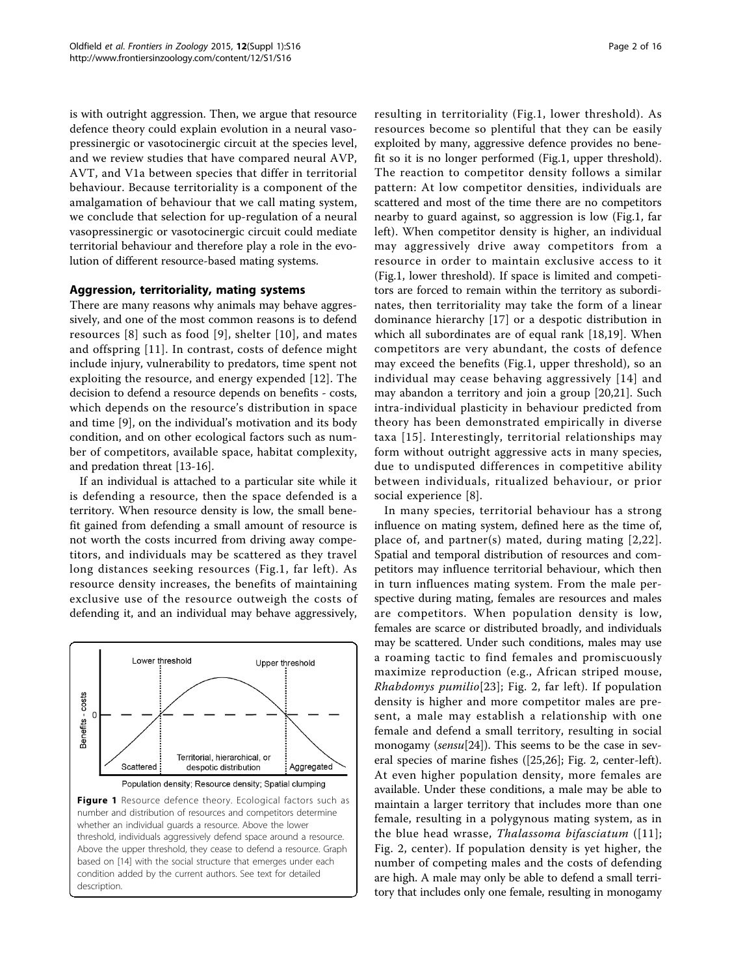is with outright aggression. Then, we argue that resource defence theory could explain evolution in a neural vasopressinergic or vasotocinergic circuit at the species level, and we review studies that have compared neural AVP, AVT, and V1a between species that differ in territorial behaviour. Because territoriality is a component of the amalgamation of behaviour that we call mating system, we conclude that selection for up-regulation of a neural vasopressinergic or vasotocinergic circuit could mediate territorial behaviour and therefore play a role in the evolution of different resource-based mating systems.

### Aggression, territoriality, mating systems

There are many reasons why animals may behave aggressively, and one of the most common reasons is to defend resources [\[8\]](#page-12-0) such as food [[9](#page-12-0)], shelter [[10\]](#page-12-0), and mates and offspring [[11](#page-12-0)]. In contrast, costs of defence might include injury, vulnerability to predators, time spent not exploiting the resource, and energy expended [[12](#page-12-0)]. The decision to defend a resource depends on benefits - costs, which depends on the resource's distribution in space and time [\[9](#page-12-0)], on the individual's motivation and its body condition, and on other ecological factors such as number of competitors, available space, habitat complexity, and predation threat [[13-16](#page-12-0)].

If an individual is attached to a particular site while it is defending a resource, then the space defended is a territory. When resource density is low, the small benefit gained from defending a small amount of resource is not worth the costs incurred from driving away competitors, and individuals may be scattered as they travel long distances seeking resources (Fig.1, far left). As resource density increases, the benefits of maintaining exclusive use of the resource outweigh the costs of defending it, and an individual may behave aggressively,



resulting in territoriality (Fig.1, lower threshold). As resources become so plentiful that they can be easily exploited by many, aggressive defence provides no benefit so it is no longer performed (Fig.1, upper threshold). The reaction to competitor density follows a similar pattern: At low competitor densities, individuals are scattered and most of the time there are no competitors nearby to guard against, so aggression is low (Fig.1, far left). When competitor density is higher, an individual may aggressively drive away competitors from a resource in order to maintain exclusive access to it (Fig.1, lower threshold). If space is limited and competitors are forced to remain within the territory as subordinates, then territoriality may take the form of a linear dominance hierarchy [[17](#page-12-0)] or a despotic distribution in which all subordinates are of equal rank [[18,19](#page-12-0)]. When competitors are very abundant, the costs of defence may exceed the benefits (Fig.1, upper threshold), so an individual may cease behaving aggressively [[14\]](#page-12-0) and may abandon a territory and join a group [[20,21](#page-12-0)]. Such intra-individual plasticity in behaviour predicted from theory has been demonstrated empirically in diverse taxa [[15\]](#page-12-0). Interestingly, territorial relationships may form without outright aggressive acts in many species, due to undisputed differences in competitive ability between individuals, ritualized behaviour, or prior social experience [\[8](#page-12-0)].

In many species, territorial behaviour has a strong influence on mating system, defined here as the time of, place of, and partner(s) mated, during mating [[2,22\]](#page-12-0). Spatial and temporal distribution of resources and competitors may influence territorial behaviour, which then in turn influences mating system. From the male perspective during mating, females are resources and males are competitors. When population density is low, females are scarce or distributed broadly, and individuals may be scattered. Under such conditions, males may use a roaming tactic to find females and promiscuously maximize reproduction (e.g., African striped mouse, Rhabdomys pumilio[[23](#page-12-0)]; Fig. [2,](#page-2-0) far left). If population density is higher and more competitor males are present, a male may establish a relationship with one female and defend a small territory, resulting in social monogamy (sensu[\[24\]](#page-12-0)). This seems to be the case in several species of marine fishes ([[25](#page-12-0),[26\]](#page-12-0); Fig. [2](#page-2-0), center-left). At even higher population density, more females are available. Under these conditions, a male may be able to maintain a larger territory that includes more than one female, resulting in a polygynous mating system, as in the blue head wrasse, Thalassoma bifasciatum  $([11];$  $([11];$  $([11];$ Fig. [2,](#page-2-0) center). If population density is yet higher, the number of competing males and the costs of defending are high. A male may only be able to defend a small territory that includes only one female, resulting in monogamy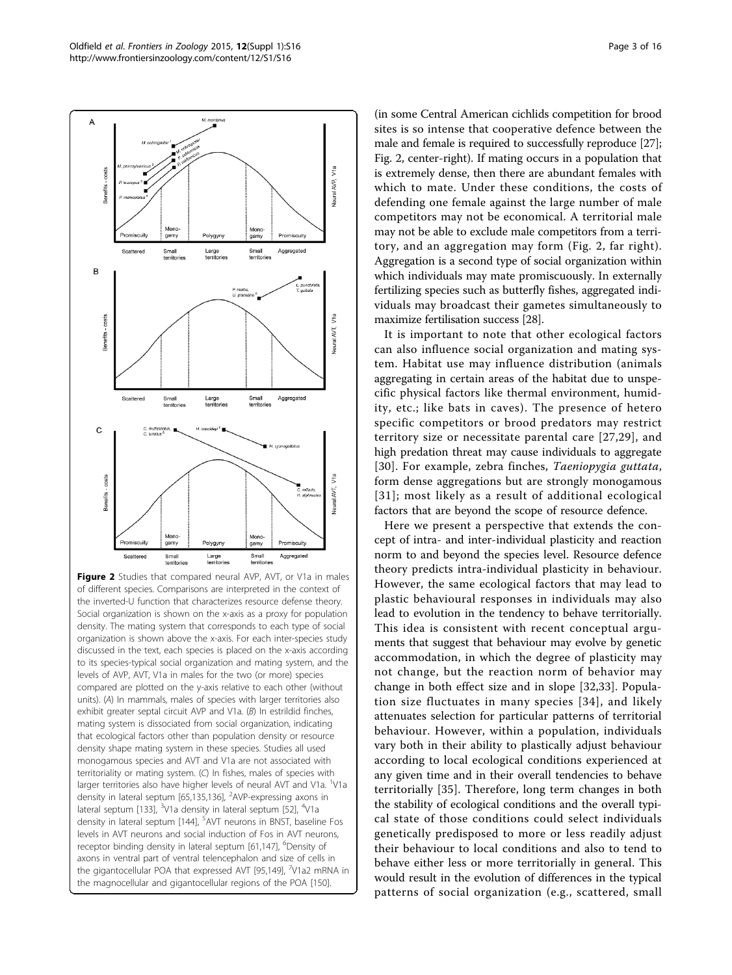<span id="page-2-0"></span>

Figure 2 Studies that compared neural AVP, AVT, or V1a in males of different species. Comparisons are interpreted in the context of the inverted-U function that characterizes resource defense theory. Social organization is shown on the x-axis as a proxy for population density. The mating system that corresponds to each type of social organization is shown above the x-axis. For each inter-species study discussed in the text, each species is placed on the x-axis according to its species-typical social organization and mating system, and the levels of AVP, AVT, V1a in males for the two (or more) species compared are plotted on the y-axis relative to each other (without units). (A) In mammals, males of species with larger territories also exhibit greater septal circuit AVP and V1a. (B) In estrildid finches, mating system is dissociated from social organization, indicating that ecological factors other than population density or resource density shape mating system in these species. Studies all used monogamous species and AVT and V1a are not associated with territoriality or mating system. (C) In fishes, males of species with larger territories also have higher levels of neural AVT and V1a. <sup>1</sup>V1a density in lateral septum [\[65](#page-13-0)[,135,136](#page-14-0)], <sup>2</sup>AVP-expressing axons in lateral septum [\[133\]](#page-14-0), <sup>3</sup>V1a density in lateral septum [[52\]](#page-13-0), <sup>4</sup>V1a density in lateral septum [\[144\]](#page-14-0), <sup>5</sup>AVT neurons in BNST, baseline Fos levels in AVT neurons and social induction of Fos in AVT neurons, receptor binding density in lateral septum [[61](#page-13-0),[147](#page-15-0)], <sup>6</sup>Density of axons in ventral part of ventral telencephalon and size of cells in the gigantocellular POA that expressed AVT [[95](#page-13-0),[149\]](#page-15-0), <sup>7</sup>V1a2 mRNA in the magnocellular and gigantocellular regions of the POA [[150](#page-15-0)].

(in some Central American cichlids competition for brood sites is so intense that cooperative defence between the male and female is required to successfully reproduce [[27](#page-12-0)]; Fig. 2, center-right). If mating occurs in a population that is extremely dense, then there are abundant females with which to mate. Under these conditions, the costs of defending one female against the large number of male competitors may not be economical. A territorial male may not be able to exclude male competitors from a territory, and an aggregation may form (Fig. 2, far right). Aggregation is a second type of social organization within which individuals may mate promiscuously. In externally fertilizing species such as butterfly fishes, aggregated individuals may broadcast their gametes simultaneously to maximize fertilisation success [\[28\]](#page-12-0).

It is important to note that other ecological factors can also influence social organization and mating system. Habitat use may influence distribution (animals aggregating in certain areas of the habitat due to unspecific physical factors like thermal environment, humidity, etc.; like bats in caves). The presence of hetero specific competitors or brood predators may restrict territory size or necessitate parental care [[27,29\]](#page-12-0), and high predation threat may cause individuals to aggregate [[30](#page-12-0)]. For example, zebra finches, Taeniopygia guttata, form dense aggregations but are strongly monogamous [[31](#page-12-0)]; most likely as a result of additional ecological factors that are beyond the scope of resource defence.

Here we present a perspective that extends the concept of intra- and inter-individual plasticity and reaction norm to and beyond the species level. Resource defence theory predicts intra-individual plasticity in behaviour. However, the same ecological factors that may lead to plastic behavioural responses in individuals may also lead to evolution in the tendency to behave territorially. This idea is consistent with recent conceptual arguments that suggest that behaviour may evolve by genetic accommodation, in which the degree of plasticity may not change, but the reaction norm of behavior may change in both effect size and in slope [[32,33](#page-12-0)]. Population size fluctuates in many species [[34\]](#page-12-0), and likely attenuates selection for particular patterns of territorial behaviour. However, within a population, individuals vary both in their ability to plastically adjust behaviour according to local ecological conditions experienced at any given time and in their overall tendencies to behave territorially [\[35](#page-12-0)]. Therefore, long term changes in both the stability of ecological conditions and the overall typical state of those conditions could select individuals genetically predisposed to more or less readily adjust their behaviour to local conditions and also to tend to behave either less or more territorially in general. This would result in the evolution of differences in the typical patterns of social organization (e.g., scattered, small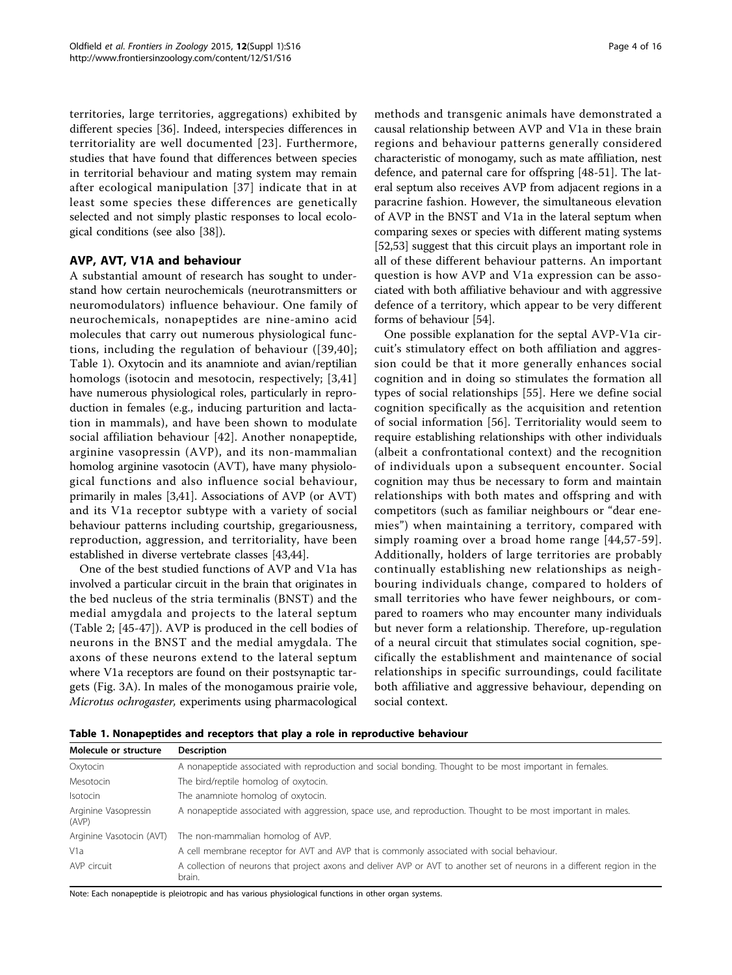territories, large territories, aggregations) exhibited by different species [[36](#page-12-0)]. Indeed, interspecies differences in territoriality are well documented [[23](#page-12-0)]. Furthermore, studies that have found that differences between species in territorial behaviour and mating system may remain after ecological manipulation [[37\]](#page-12-0) indicate that in at least some species these differences are genetically selected and not simply plastic responses to local ecological conditions (see also [\[38](#page-12-0)]).

# AVP, AVT, V1A and behaviour

A substantial amount of research has sought to understand how certain neurochemicals (neurotransmitters or neuromodulators) influence behaviour. One family of neurochemicals, nonapeptides are nine-amino acid molecules that carry out numerous physiological functions, including the regulation of behaviour ([\[39,40\]](#page-12-0); Table 1). Oxytocin and its anamniote and avian/reptilian homologs (isotocin and mesotocin, respectively; [[3,41](#page-12-0)] have numerous physiological roles, particularly in reproduction in females (e.g., inducing parturition and lactation in mammals), and have been shown to modulate social affiliation behaviour [\[42\]](#page-12-0). Another nonapeptide, arginine vasopressin (AVP), and its non-mammalian homolog arginine vasotocin (AVT), have many physiological functions and also influence social behaviour, primarily in males [\[3,41](#page-12-0)]. Associations of AVP (or AVT) and its V1a receptor subtype with a variety of social behaviour patterns including courtship, gregariousness, reproduction, aggression, and territoriality, have been established in diverse vertebrate classes [\[43,44](#page-12-0)].

One of the best studied functions of AVP and V1a has involved a particular circuit in the brain that originates in the bed nucleus of the stria terminalis (BNST) and the medial amygdala and projects to the lateral septum (Table [2](#page-4-0); [[45-47](#page-12-0)]). AVP is produced in the cell bodies of neurons in the BNST and the medial amygdala. The axons of these neurons extend to the lateral septum where V1a receptors are found on their postsynaptic targets (Fig. [3A\)](#page-4-0). In males of the monogamous prairie vole, Microtus ochrogaster, experiments using pharmacological methods and transgenic animals have demonstrated a causal relationship between AVP and V1a in these brain regions and behaviour patterns generally considered characteristic of monogamy, such as mate affiliation, nest defence, and paternal care for offspring [[48-](#page-12-0)[51](#page-13-0)]. The lateral septum also receives AVP from adjacent regions in a paracrine fashion. However, the simultaneous elevation of AVP in the BNST and V1a in the lateral septum when comparing sexes or species with different mating systems [[52,53\]](#page-13-0) suggest that this circuit plays an important role in all of these different behaviour patterns. An important question is how AVP and V1a expression can be associated with both affiliative behaviour and with aggressive defence of a territory, which appear to be very different forms of behaviour [[54](#page-13-0)].

One possible explanation for the septal AVP-V1a circuit's stimulatory effect on both affiliation and aggression could be that it more generally enhances social cognition and in doing so stimulates the formation all types of social relationships [\[55\]](#page-13-0). Here we define social cognition specifically as the acquisition and retention of social information [[56\]](#page-13-0). Territoriality would seem to require establishing relationships with other individuals (albeit a confrontational context) and the recognition of individuals upon a subsequent encounter. Social cognition may thus be necessary to form and maintain relationships with both mates and offspring and with competitors (such as familiar neighbours or "dear enemies") when maintaining a territory, compared with simply roaming over a broad home range [[44,](#page-12-0)[57-59\]](#page-13-0). Additionally, holders of large territories are probably continually establishing new relationships as neighbouring individuals change, compared to holders of small territories who have fewer neighbours, or compared to roamers who may encounter many individuals but never form a relationship. Therefore, up-regulation of a neural circuit that stimulates social cognition, specifically the establishment and maintenance of social relationships in specific surroundings, could facilitate both affiliative and aggressive behaviour, depending on social context.

Table 1. Nonapeptides and receptors that play a role in reproductive behaviour

| Molecule or structure         | <b>Description</b>                                                                                                                 |
|-------------------------------|------------------------------------------------------------------------------------------------------------------------------------|
| Oxytocin                      | A nonapeptide associated with reproduction and social bonding. Thought to be most important in females.                            |
| Mesotocin                     | The bird/reptile homolog of oxytocin.                                                                                              |
| Isotocin                      | The anamniote homolog of oxytocin.                                                                                                 |
| Arginine Vasopressin<br>(AVP) | A nonapeptide associated with aggression, space use, and reproduction. Thought to be most important in males.                      |
| Arginine Vasotocin (AVT)      | The non-mammalian homolog of AVP.                                                                                                  |
| V <sub>1</sub> a              | A cell membrane receptor for AVT and AVP that is commonly associated with social behaviour.                                        |
| AVP circuit                   | A collection of neurons that project axons and deliver AVP or AVT to another set of neurons in a different region in the<br>brain. |

Note: Each nonapeptide is pleiotropic and has various physiological functions in other organ systems.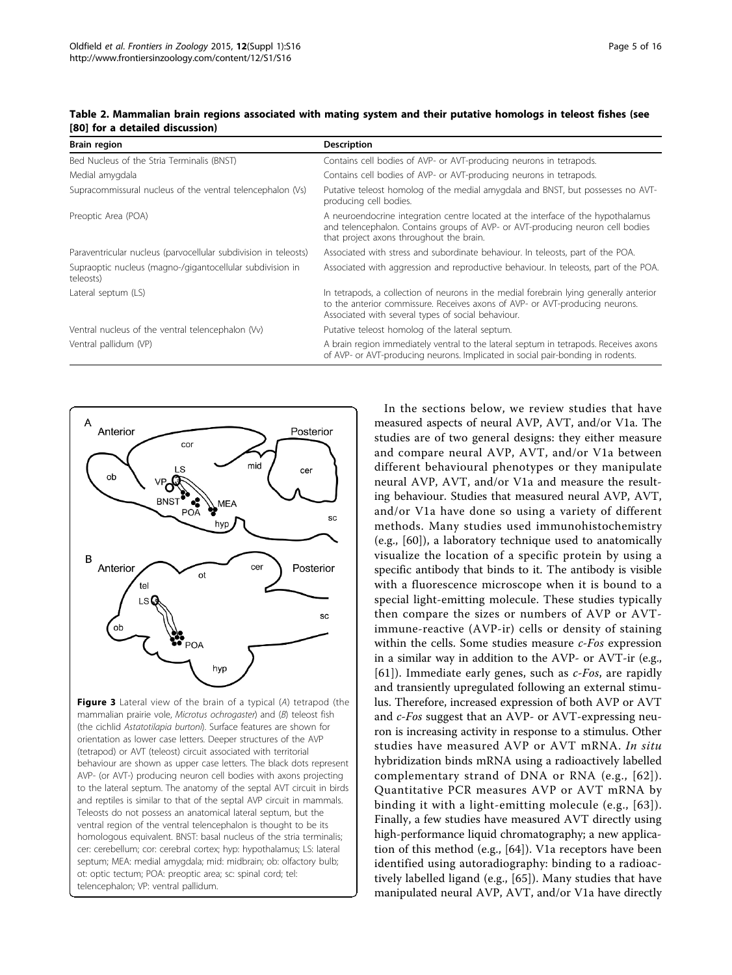| <b>Brain region</b>                                                    | <b>Description</b>                                                                                                                                                                                                           |
|------------------------------------------------------------------------|------------------------------------------------------------------------------------------------------------------------------------------------------------------------------------------------------------------------------|
| Bed Nucleus of the Stria Terminalis (BNST)                             | Contains cell bodies of AVP- or AVT-producing neurons in tetrapods.                                                                                                                                                          |
| Medial amygdala                                                        | Contains cell bodies of AVP- or AVT-producing neurons in tetrapods.                                                                                                                                                          |
| Supracommissural nucleus of the ventral telencephalon (Vs)             | Putative teleost homolog of the medial amygdala and BNST, but possesses no AVT-<br>producing cell bodies.                                                                                                                    |
| Preoptic Area (POA)                                                    | A neuroendocrine integration centre located at the interface of the hypothalamus<br>and telencephalon. Contains groups of AVP- or AVT-producing neuron cell bodies<br>that project axons throughout the brain.               |
| Paraventricular nucleus (parvocellular subdivision in teleosts)        | Associated with stress and subordinate behaviour. In teleosts, part of the POA.                                                                                                                                              |
| Supraoptic nucleus (magno-/gigantocellular subdivision in<br>teleosts) | Associated with aggression and reproductive behaviour. In teleosts, part of the POA.                                                                                                                                         |
| Lateral septum (LS)                                                    | In tetrapods, a collection of neurons in the medial forebrain lying generally anterior<br>to the anterior commissure. Receives axons of AVP- or AVT-producing neurons.<br>Associated with several types of social behaviour. |
| Ventral nucleus of the ventral telencephalon (Vv)                      | Putative teleost homolog of the lateral septum.                                                                                                                                                                              |
| Ventral pallidum (VP)                                                  | A brain region immediately ventral to the lateral septum in tetrapods. Receives axons<br>of AVP- or AVT-producing neurons. Implicated in social pair-bonding in rodents.                                                     |

<span id="page-4-0"></span>Table 2. Mammalian brain regions associated with mating system and their putative homologs in teleost fishes (see [\[80](#page-13-0)] for a detailed discussion)



Figure 3 Lateral view of the brain of a typical (A) tetrapod (the mammalian prairie vole, Microtus ochrogaster) and (B) teleost fish (the cichlid Astatotilapia burtoni). Surface features are shown for orientation as lower case letters. Deeper structures of the AVP (tetrapod) or AVT (teleost) circuit associated with territorial behaviour are shown as upper case letters. The black dots represent AVP- (or AVT-) producing neuron cell bodies with axons projecting to the lateral septum. The anatomy of the septal AVT circuit in birds and reptiles is similar to that of the septal AVP circuit in mammals. Teleosts do not possess an anatomical lateral septum, but the ventral region of the ventral telencephalon is thought to be its homologous equivalent. BNST: basal nucleus of the stria terminalis; cer: cerebellum; cor: cerebral cortex; hyp: hypothalamus; LS: lateral septum; MEA: medial amygdala; mid: midbrain; ob: olfactory bulb; ot: optic tectum; POA: preoptic area; sc: spinal cord; tel: telencephalon; VP: ventral pallidum.

In the sections below, we review studies that have measured aspects of neural AVP, AVT, and/or V1a. The studies are of two general designs: they either measure and compare neural AVP, AVT, and/or V1a between different behavioural phenotypes or they manipulate neural AVP, AVT, and/or V1a and measure the resulting behaviour. Studies that measured neural AVP, AVT, and/or V1a have done so using a variety of different methods. Many studies used immunohistochemistry (e.g., [[60\]](#page-13-0)), a laboratory technique used to anatomically visualize the location of a specific protein by using a specific antibody that binds to it. The antibody is visible with a fluorescence microscope when it is bound to a special light-emitting molecule. These studies typically then compare the sizes or numbers of AVP or AVTimmune-reactive (AVP-ir) cells or density of staining within the cells. Some studies measure *c-Fos* expression in a similar way in addition to the AVP- or AVT-ir (e.g., [[61](#page-13-0)]). Immediate early genes, such as  $c$ -Fos, are rapidly and transiently upregulated following an external stimulus. Therefore, increased expression of both AVP or AVT and c-Fos suggest that an AVP- or AVT-expressing neuron is increasing activity in response to a stimulus. Other studies have measured AVP or AVT mRNA. In situ hybridization binds mRNA using a radioactively labelled complementary strand of DNA or RNA (e.g., [[62](#page-13-0)]). Quantitative PCR measures AVP or AVT mRNA by binding it with a light-emitting molecule (e.g., [[63](#page-13-0)]). Finally, a few studies have measured AVT directly using high-performance liquid chromatography; a new application of this method (e.g., [\[64](#page-13-0)]). V1a receptors have been identified using autoradiography: binding to a radioactively labelled ligand (e.g., [\[65\]](#page-13-0)). Many studies that have manipulated neural AVP, AVT, and/or V1a have directly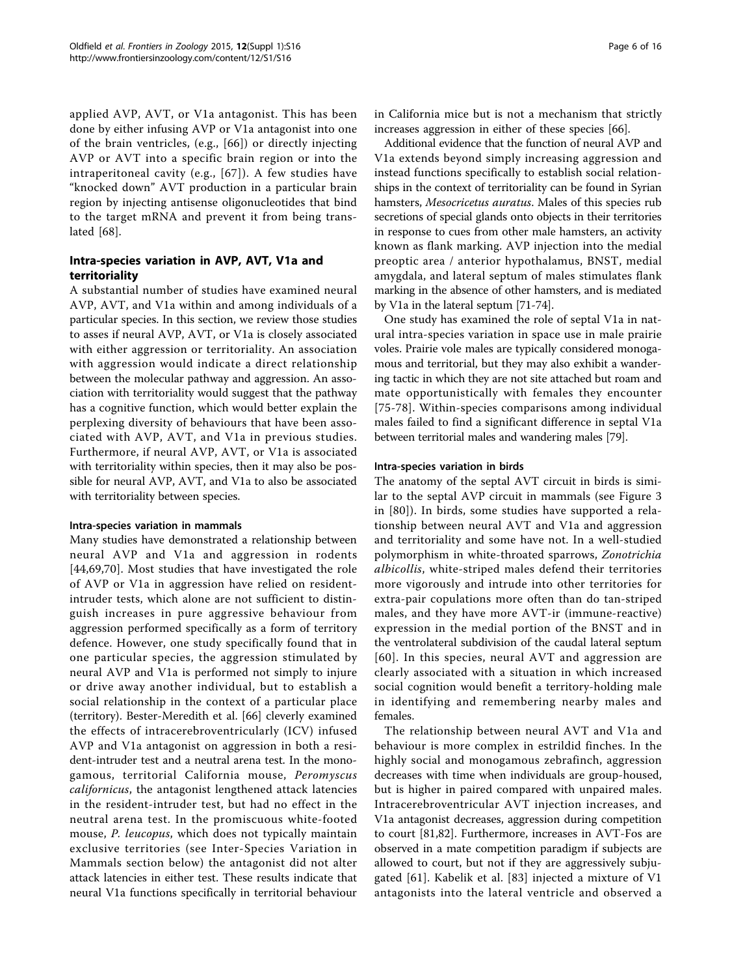applied AVP, AVT, or V1a antagonist. This has been done by either infusing AVP or V1a antagonist into one of the brain ventricles, (e.g., [[66](#page-13-0)]) or directly injecting AVP or AVT into a specific brain region or into the intraperitoneal cavity (e.g., [[67](#page-13-0)]). A few studies have "knocked down" AVT production in a particular brain region by injecting antisense oligonucleotides that bind to the target mRNA and prevent it from being translated [\[68](#page-13-0)].

# Intra-species variation in AVP, AVT, V1a and territoriality

A substantial number of studies have examined neural AVP, AVT, and V1a within and among individuals of a particular species. In this section, we review those studies to asses if neural AVP, AVT, or V1a is closely associated with either aggression or territoriality. An association with aggression would indicate a direct relationship between the molecular pathway and aggression. An association with territoriality would suggest that the pathway has a cognitive function, which would better explain the perplexing diversity of behaviours that have been associated with AVP, AVT, and V1a in previous studies. Furthermore, if neural AVP, AVT, or V1a is associated with territoriality within species, then it may also be possible for neural AVP, AVT, and V1a to also be associated with territoriality between species.

# Intra-species variation in mammals

Many studies have demonstrated a relationship between neural AVP and V1a and aggression in rodents [[44](#page-12-0)[,69](#page-13-0),[70\]](#page-13-0). Most studies that have investigated the role of AVP or V1a in aggression have relied on residentintruder tests, which alone are not sufficient to distinguish increases in pure aggressive behaviour from aggression performed specifically as a form of territory defence. However, one study specifically found that in one particular species, the aggression stimulated by neural AVP and V1a is performed not simply to injure or drive away another individual, but to establish a social relationship in the context of a particular place (territory). Bester-Meredith et al. [[66\]](#page-13-0) cleverly examined the effects of intracerebroventricularly (ICV) infused AVP and V1a antagonist on aggression in both a resident-intruder test and a neutral arena test. In the monogamous, territorial California mouse, Peromyscus californicus, the antagonist lengthened attack latencies in the resident-intruder test, but had no effect in the neutral arena test. In the promiscuous white-footed mouse, P. leucopus, which does not typically maintain exclusive territories (see Inter-Species Variation in Mammals section below) the antagonist did not alter attack latencies in either test. These results indicate that neural V1a functions specifically in territorial behaviour in California mice but is not a mechanism that strictly increases aggression in either of these species [\[66\]](#page-13-0).

Additional evidence that the function of neural AVP and V1a extends beyond simply increasing aggression and instead functions specifically to establish social relationships in the context of territoriality can be found in Syrian hamsters, Mesocricetus auratus. Males of this species rub secretions of special glands onto objects in their territories in response to cues from other male hamsters, an activity known as flank marking. AVP injection into the medial preoptic area / anterior hypothalamus, BNST, medial amygdala, and lateral septum of males stimulates flank marking in the absence of other hamsters, and is mediated by V1a in the lateral septum [\[71-74\]](#page-13-0).

One study has examined the role of septal V1a in natural intra-species variation in space use in male prairie voles. Prairie vole males are typically considered monogamous and territorial, but they may also exhibit a wandering tactic in which they are not site attached but roam and mate opportunistically with females they encounter [[75](#page-13-0)-[78](#page-13-0)]. Within-species comparisons among individual males failed to find a significant difference in septal V1a between territorial males and wandering males [\[79\]](#page-13-0).

#### Intra-species variation in birds

The anatomy of the septal AVT circuit in birds is similar to the septal AVP circuit in mammals (see Figure [3](#page-4-0) in [[80](#page-13-0)]). In birds, some studies have supported a relationship between neural AVT and V1a and aggression and territoriality and some have not. In a well-studied polymorphism in white-throated sparrows, Zonotrichia albicollis, white-striped males defend their territories more vigorously and intrude into other territories for extra-pair copulations more often than do tan-striped males, and they have more AVT-ir (immune-reactive) expression in the medial portion of the BNST and in the ventrolateral subdivision of the caudal lateral septum [[60\]](#page-13-0). In this species, neural AVT and aggression are clearly associated with a situation in which increased social cognition would benefit a territory-holding male in identifying and remembering nearby males and females.

The relationship between neural AVT and V1a and behaviour is more complex in estrildid finches. In the highly social and monogamous zebrafinch, aggression decreases with time when individuals are group-housed, but is higher in paired compared with unpaired males. Intracerebroventricular AVT injection increases, and V1a antagonist decreases, aggression during competition to court [[81,82\]](#page-13-0). Furthermore, increases in AVT-Fos are observed in a mate competition paradigm if subjects are allowed to court, but not if they are aggressively subjugated [\[61](#page-13-0)]. Kabelik et al. [\[83\]](#page-13-0) injected a mixture of V1 antagonists into the lateral ventricle and observed a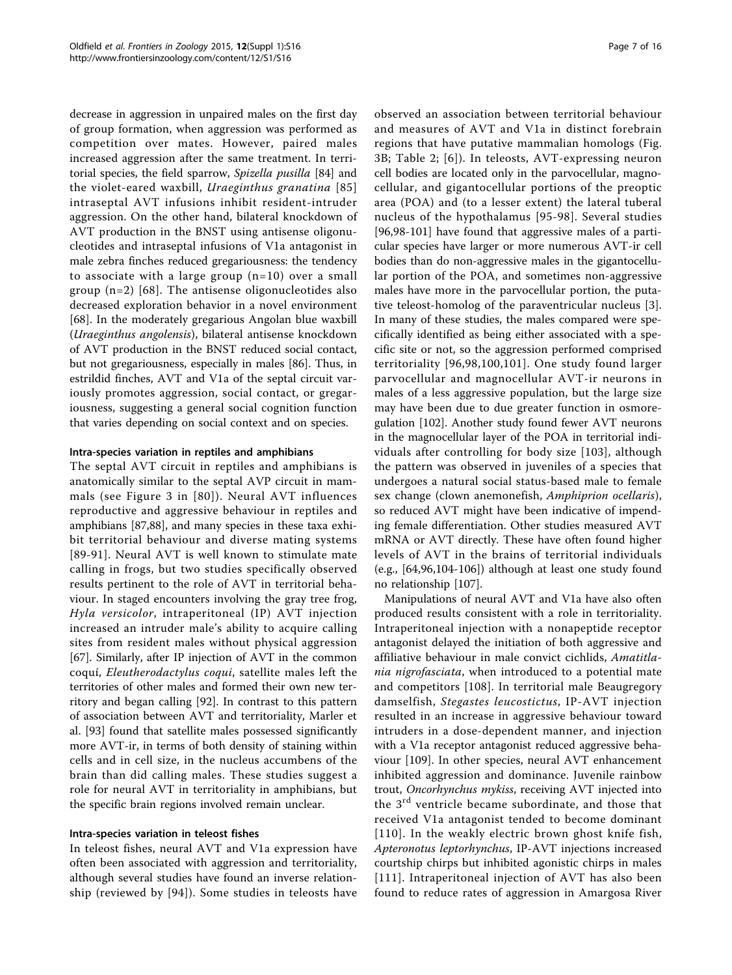decrease in aggression in unpaired males on the first day of group formation, when aggression was performed as competition over mates. However, paired males increased aggression after the same treatment. In territorial species, the field sparrow, Spizella pusilla [\[84](#page-13-0)] and the violet-eared waxbill, Uraeginthus granatina [[85](#page-13-0)] intraseptal AVT infusions inhibit resident-intruder aggression. On the other hand, bilateral knockdown of AVT production in the BNST using antisense oligonucleotides and intraseptal infusions of V1a antagonist in male zebra finches reduced gregariousness: the tendency to associate with a large group (n=10) over a small group  $(n=2)$  [[68\]](#page-13-0). The antisense oligonucleotides also decreased exploration behavior in a novel environment [[68\]](#page-13-0). In the moderately gregarious Angolan blue waxbill (Uraeginthus angolensis), bilateral antisense knockdown of AVT production in the BNST reduced social contact, but not gregariousness, especially in males [[86\]](#page-13-0). Thus, in estrildid finches, AVT and V1a of the septal circuit variously promotes aggression, social contact, or gregariousness, suggesting a general social cognition function that varies depending on social context and on species.

### Intra-species variation in reptiles and amphibians

The septal AVT circuit in reptiles and amphibians is anatomically similar to the septal AVP circuit in mammals (see Figure [3](#page-4-0) in [[80\]](#page-13-0)). Neural AVT influences reproductive and aggressive behaviour in reptiles and amphibians [[87](#page-13-0),[88](#page-13-0)], and many species in these taxa exhibit territorial behaviour and diverse mating systems [[89](#page-13-0)-[91](#page-13-0)]. Neural AVT is well known to stimulate mate calling in frogs, but two studies specifically observed results pertinent to the role of AVT in territorial behaviour. In staged encounters involving the gray tree frog, Hyla versicolor, intraperitoneal (IP) AVT injection increased an intruder male's ability to acquire calling sites from resident males without physical aggression [[67\]](#page-13-0). Similarly, after IP injection of AVT in the common coquí, Eleutherodactylus coqui, satellite males left the territories of other males and formed their own new territory and began calling [[92\]](#page-13-0). In contrast to this pattern of association between AVT and territoriality, Marler et al. [[93](#page-13-0)] found that satellite males possessed significantly more AVT-ir, in terms of both density of staining within cells and in cell size, in the nucleus accumbens of the brain than did calling males. These studies suggest a role for neural AVT in territoriality in amphibians, but the specific brain regions involved remain unclear.

#### Intra-species variation in teleost fishes

In teleost fishes, neural AVT and V1a expression have often been associated with aggression and territoriality, although several studies have found an inverse relationship (reviewed by [[94](#page-13-0)]). Some studies in teleosts have observed an association between territorial behaviour and measures of AVT and V1a in distinct forebrain regions that have putative mammalian homologs (Fig. [3B](#page-4-0); Table [2](#page-4-0); [[6\]](#page-12-0)). In teleosts, AVT-expressing neuron cell bodies are located only in the parvocellular, magnocellular, and gigantocellular portions of the preoptic area (POA) and (to a lesser extent) the lateral tuberal nucleus of the hypothalamus [\[95-](#page-13-0)[98](#page-14-0)]. Several studies [[96,98-101\]](#page-14-0) have found that aggressive males of a particular species have larger or more numerous AVT-ir cell bodies than do non-aggressive males in the gigantocellular portion of the POA, and sometimes non-aggressive males have more in the parvocellular portion, the putative teleost-homolog of the paraventricular nucleus [[3](#page-12-0)]. In many of these studies, the males compared were specifically identified as being either associated with a specific site or not, so the aggression performed comprised territoriality [[96](#page-14-0),[98,100](#page-14-0),[101](#page-14-0)]. One study found larger parvocellular and magnocellular AVT-ir neurons in males of a less aggressive population, but the large size may have been due to due greater function in osmoregulation [\[102\]](#page-14-0). Another study found fewer AVT neurons in the magnocellular layer of the POA in territorial individuals after controlling for body size [[103\]](#page-14-0), although the pattern was observed in juveniles of a species that undergoes a natural social status-based male to female sex change (clown anemonefish, Amphiprion ocellaris), so reduced AVT might have been indicative of impending female differentiation. Other studies measured AVT mRNA or AVT directly. These have often found higher levels of AVT in the brains of territorial individuals (e.g., [\[64](#page-13-0),[96](#page-14-0),[104-106](#page-14-0)]) although at least one study found no relationship [[107](#page-14-0)].

Manipulations of neural AVT and V1a have also often produced results consistent with a role in territoriality. Intraperitoneal injection with a nonapeptide receptor antagonist delayed the initiation of both aggressive and affiliative behaviour in male convict cichlids, Amatitlania nigrofasciata, when introduced to a potential mate and competitors [\[108\]](#page-14-0). In territorial male Beaugregory damselfish, Stegastes leucostictus, IP-AVT injection resulted in an increase in aggressive behaviour toward intruders in a dose-dependent manner, and injection with a V1a receptor antagonist reduced aggressive behaviour [[109\]](#page-14-0). In other species, neural AVT enhancement inhibited aggression and dominance. Juvenile rainbow trout, Oncorhynchus mykiss, receiving AVT injected into the 3rd ventricle became subordinate, and those that received V1a antagonist tended to become dominant [[110](#page-14-0)]. In the weakly electric brown ghost knife fish, Apteronotus leptorhynchus, IP-AVT injections increased courtship chirps but inhibited agonistic chirps in males [[111\]](#page-14-0). Intraperitoneal injection of AVT has also been found to reduce rates of aggression in Amargosa River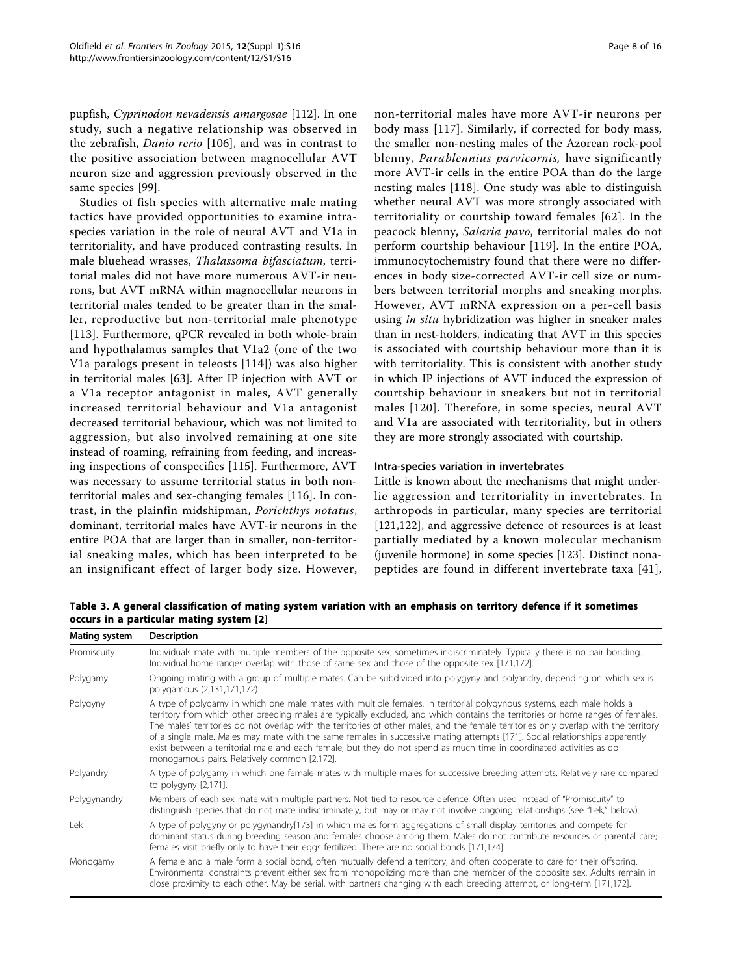pupfish, Cyprinodon nevadensis amargosae [\[112\]](#page-14-0). In one study, such a negative relationship was observed in the zebrafish, Danio rerio [\[106\]](#page-14-0), and was in contrast to the positive association between magnocellular AVT neuron size and aggression previously observed in the same species [\[99](#page-14-0)].

Studies of fish species with alternative male mating tactics have provided opportunities to examine intraspecies variation in the role of neural AVT and V1a in territoriality, and have produced contrasting results. In male bluehead wrasses, Thalassoma bifasciatum, territorial males did not have more numerous AVT-ir neurons, but AVT mRNA within magnocellular neurons in territorial males tended to be greater than in the smaller, reproductive but non-territorial male phenotype [[113\]](#page-14-0). Furthermore, qPCR revealed in both whole-brain and hypothalamus samples that V1a2 (one of the two V1a paralogs present in teleosts [[114\]](#page-14-0)) was also higher in territorial males [\[63](#page-13-0)]. After IP injection with AVT or a V1a receptor antagonist in males, AVT generally increased territorial behaviour and V1a antagonist decreased territorial behaviour, which was not limited to aggression, but also involved remaining at one site instead of roaming, refraining from feeding, and increasing inspections of conspecifics [[115\]](#page-14-0). Furthermore, AVT was necessary to assume territorial status in both nonterritorial males and sex-changing females [[116\]](#page-14-0). In contrast, in the plainfin midshipman, Porichthys notatus, dominant, territorial males have AVT-ir neurons in the entire POA that are larger than in smaller, non-territorial sneaking males, which has been interpreted to be an insignificant effect of larger body size. However, non-territorial males have more AVT-ir neurons per body mass [\[117](#page-14-0)]. Similarly, if corrected for body mass, the smaller non-nesting males of the Azorean rock-pool blenny, Parablennius parvicornis, have significantly more AVT-ir cells in the entire POA than do the large nesting males [[118\]](#page-14-0). One study was able to distinguish whether neural AVT was more strongly associated with territoriality or courtship toward females [\[62\]](#page-13-0). In the peacock blenny, Salaria pavo, territorial males do not perform courtship behaviour [\[119\]](#page-14-0). In the entire POA, immunocytochemistry found that there were no differences in body size-corrected AVT-ir cell size or numbers between territorial morphs and sneaking morphs. However, AVT mRNA expression on a per-cell basis using in situ hybridization was higher in sneaker males than in nest-holders, indicating that AVT in this species is associated with courtship behaviour more than it is with territoriality. This is consistent with another study in which IP injections of AVT induced the expression of courtship behaviour in sneakers but not in territorial males [[120](#page-14-0)]. Therefore, in some species, neural AVT and V1a are associated with territoriality, but in others they are more strongly associated with courtship.

#### Intra-species variation in invertebrates

Little is known about the mechanisms that might underlie aggression and territoriality in invertebrates. In arthropods in particular, many species are territorial [[121,122\]](#page-14-0), and aggressive defence of resources is at least partially mediated by a known molecular mechanism (juvenile hormone) in some species [\[123](#page-14-0)]. Distinct nonapeptides are found in different invertebrate taxa [[41](#page-12-0)],

Table 3. A general classification of mating system variation with an emphasis on territory defence if it sometimes occurs in a particular mating system [\[2](#page-12-0)]

| Mating system | <b>Description</b>                                                                                                                                                                                                                                                                                                                                                                                                                                                                                                                                                                                                                                                                                        |  |
|---------------|-----------------------------------------------------------------------------------------------------------------------------------------------------------------------------------------------------------------------------------------------------------------------------------------------------------------------------------------------------------------------------------------------------------------------------------------------------------------------------------------------------------------------------------------------------------------------------------------------------------------------------------------------------------------------------------------------------------|--|
| Promiscuity   | Individuals mate with multiple members of the opposite sex, sometimes indiscriminately. Typically there is no pair bonding.<br>Individual home ranges overlap with those of same sex and those of the opposite sex [171,172].                                                                                                                                                                                                                                                                                                                                                                                                                                                                             |  |
| Polygamy      | Ongoing mating with a group of multiple mates. Can be subdivided into polygyny and polyandry, depending on which sex is<br>polygamous (2,131,171,172).                                                                                                                                                                                                                                                                                                                                                                                                                                                                                                                                                    |  |
| Polygyny      | A type of polygamy in which one male mates with multiple females. In territorial polygynous systems, each male holds a<br>territory from which other breeding males are typically excluded, and which contains the territories or home ranges of females.<br>The males' territories do not overlap with the territories of other males, and the female territories only overlap with the territory<br>of a single male. Males may mate with the same females in successive mating attempts [171]. Social relationships apparently<br>exist between a territorial male and each female, but they do not spend as much time in coordinated activities as do<br>monogamous pairs. Relatively common [2,172]. |  |
| Polyandry     | A type of polygamy in which one female mates with multiple males for successive breeding attempts. Relatively rare compared<br>to polygyny [2,171].                                                                                                                                                                                                                                                                                                                                                                                                                                                                                                                                                       |  |
| Polygynandry  | Members of each sex mate with multiple partners. Not tied to resource defence. Often used instead of "Promiscuity" to<br>distinguish species that do not mate indiscriminately, but may or may not involve ongoing relationships (see "Lek," below).                                                                                                                                                                                                                                                                                                                                                                                                                                                      |  |
| Lek           | A type of polygyny or polygynandry[173] in which males form aggregations of small display territories and compete for<br>dominant status during breeding season and females choose among them. Males do not contribute resources or parental care;<br>females visit briefly only to have their eggs fertilized. There are no social bonds [171,174].                                                                                                                                                                                                                                                                                                                                                      |  |
| Monogamy      | A female and a male form a social bond, often mutually defend a territory, and often cooperate to care for their offspring.<br>Environmental constraints prevent either sex from monopolizing more than one member of the opposite sex. Adults remain in<br>close proximity to each other. May be serial, with partners changing with each breeding attempt, or long-term [171,172].                                                                                                                                                                                                                                                                                                                      |  |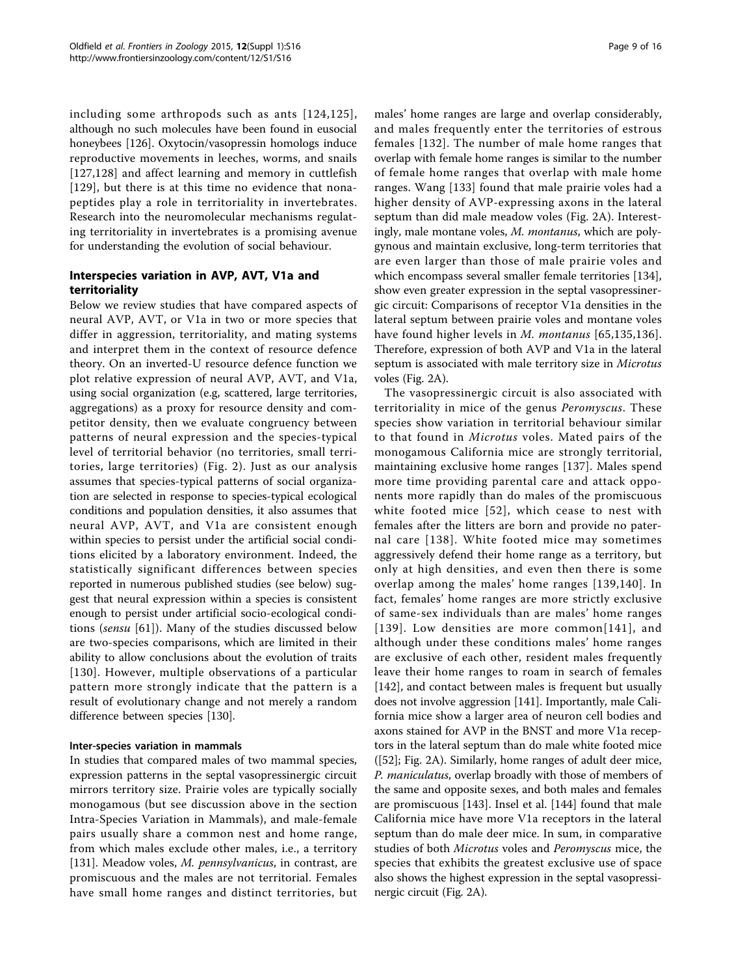including some arthropods such as ants [[124](#page-14-0),[125\]](#page-14-0), although no such molecules have been found in eusocial honeybees [[126](#page-14-0)]. Oxytocin/vasopressin homologs induce reproductive movements in leeches, worms, and snails [[127,128\]](#page-14-0) and affect learning and memory in cuttlefish [[129](#page-14-0)], but there is at this time no evidence that nonapeptides play a role in territoriality in invertebrates. Research into the neuromolecular mechanisms regulating territoriality in invertebrates is a promising avenue for understanding the evolution of social behaviour.

# Interspecies variation in AVP, AVT, V1a and territoriality

Below we review studies that have compared aspects of neural AVP, AVT, or V1a in two or more species that differ in aggression, territoriality, and mating systems and interpret them in the context of resource defence theory. On an inverted-U resource defence function we plot relative expression of neural AVP, AVT, and V1a, using social organization (e.g, scattered, large territories, aggregations) as a proxy for resource density and competitor density, then we evaluate congruency between patterns of neural expression and the species-typical level of territorial behavior (no territories, small territories, large territories) (Fig. [2](#page-2-0)). Just as our analysis assumes that species-typical patterns of social organization are selected in response to species-typical ecological conditions and population densities, it also assumes that neural AVP, AVT, and V1a are consistent enough within species to persist under the artificial social conditions elicited by a laboratory environment. Indeed, the statistically significant differences between species reported in numerous published studies (see below) suggest that neural expression within a species is consistent enough to persist under artificial socio-ecological conditions (sensu [[61](#page-13-0)]). Many of the studies discussed below are two-species comparisons, which are limited in their ability to allow conclusions about the evolution of traits [[130\]](#page-14-0). However, multiple observations of a particular pattern more strongly indicate that the pattern is a result of evolutionary change and not merely a random difference between species [\[130](#page-14-0)].

# Inter-species variation in mammals

In studies that compared males of two mammal species, expression patterns in the septal vasopressinergic circuit mirrors territory size. Prairie voles are typically socially monogamous (but see discussion above in the section Intra-Species Variation in Mammals), and male-female pairs usually share a common nest and home range, from which males exclude other males, i.e., a territory [[131\]](#page-14-0). Meadow voles, M. pennsylvanicus, in contrast, are promiscuous and the males are not territorial. Females have small home ranges and distinct territories, but males' home ranges are large and overlap considerably, and males frequently enter the territories of estrous females [[132](#page-14-0)]. The number of male home ranges that overlap with female home ranges is similar to the number of female home ranges that overlap with male home ranges. Wang [[133](#page-14-0)] found that male prairie voles had a higher density of AVP-expressing axons in the lateral septum than did male meadow voles (Fig. [2A](#page-2-0)). Interestingly, male montane voles, *M. montanus*, which are polygynous and maintain exclusive, long-term territories that are even larger than those of male prairie voles and which encompass several smaller female territories [[134](#page-14-0)], show even greater expression in the septal vasopressinergic circuit: Comparisons of receptor V1a densities in the lateral septum between prairie voles and montane voles have found higher levels in *M. montanus* [[65](#page-13-0),[135](#page-14-0),[136](#page-14-0)]. Therefore, expression of both AVP and V1a in the lateral septum is associated with male territory size in Microtus voles (Fig. [2A\)](#page-2-0).

The vasopressinergic circuit is also associated with territoriality in mice of the genus Peromyscus. These species show variation in territorial behaviour similar to that found in Microtus voles. Mated pairs of the monogamous California mice are strongly territorial, maintaining exclusive home ranges [\[137\]](#page-14-0). Males spend more time providing parental care and attack opponents more rapidly than do males of the promiscuous white footed mice [[52](#page-13-0)], which cease to nest with females after the litters are born and provide no paternal care [[138](#page-14-0)]. White footed mice may sometimes aggressively defend their home range as a territory, but only at high densities, and even then there is some overlap among the males' home ranges [[139,140\]](#page-14-0). In fact, females' home ranges are more strictly exclusive of same-sex individuals than are males' home ranges [[139\]](#page-14-0). Low densities are more common[[141](#page-14-0)], and although under these conditions males' home ranges are exclusive of each other, resident males frequently leave their home ranges to roam in search of females [[142\]](#page-14-0), and contact between males is frequent but usually does not involve aggression [[141](#page-14-0)]. Importantly, male California mice show a larger area of neuron cell bodies and axons stained for AVP in the BNST and more V1a receptors in the lateral septum than do male white footed mice ([\[52\]](#page-13-0); Fig. [2A](#page-2-0)). Similarly, home ranges of adult deer mice, P. maniculatus, overlap broadly with those of members of the same and opposite sexes, and both males and females are promiscuous [[143](#page-14-0)]. Insel et al. [[144](#page-14-0)] found that male California mice have more V1a receptors in the lateral septum than do male deer mice. In sum, in comparative studies of both Microtus voles and Peromyscus mice, the species that exhibits the greatest exclusive use of space also shows the highest expression in the septal vasopressinergic circuit (Fig. [2A](#page-2-0)).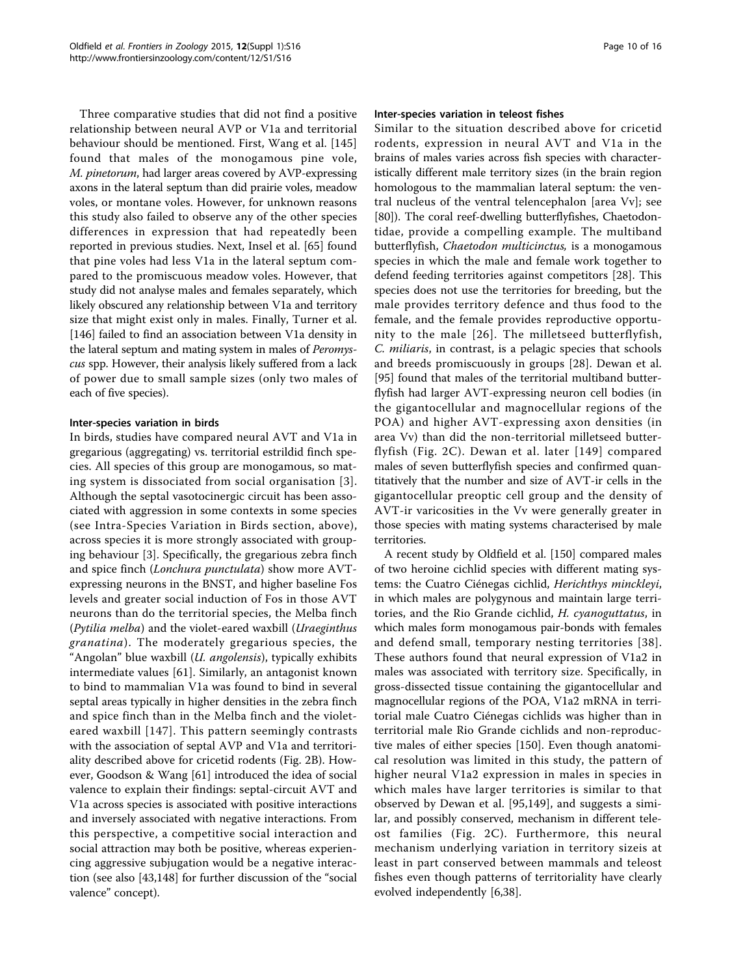Three comparative studies that did not find a positive relationship between neural AVP or V1a and territorial behaviour should be mentioned. First, Wang et al. [\[145](#page-14-0)] found that males of the monogamous pine vole, M. pinetorum, had larger areas covered by AVP-expressing axons in the lateral septum than did prairie voles, meadow voles, or montane voles. However, for unknown reasons this study also failed to observe any of the other species differences in expression that had repeatedly been reported in previous studies. Next, Insel et al. [[65](#page-13-0)] found that pine voles had less V1a in the lateral septum compared to the promiscuous meadow voles. However, that study did not analyse males and females separately, which likely obscured any relationship between V1a and territory size that might exist only in males. Finally, Turner et al. [[146\]](#page-15-0) failed to find an association between V1a density in the lateral septum and mating system in males of *Peromys*cus spp. However, their analysis likely suffered from a lack of power due to small sample sizes (only two males of each of five species).

# Inter-species variation in birds

In birds, studies have compared neural AVT and V1a in gregarious (aggregating) vs. territorial estrildid finch species. All species of this group are monogamous, so mating system is dissociated from social organisation [[3\]](#page-12-0). Although the septal vasotocinergic circuit has been associated with aggression in some contexts in some species (see Intra-Species Variation in Birds section, above), across species it is more strongly associated with grouping behaviour [\[3](#page-12-0)]. Specifically, the gregarious zebra finch and spice finch (Lonchura punctulata) show more AVTexpressing neurons in the BNST, and higher baseline Fos levels and greater social induction of Fos in those AVT neurons than do the territorial species, the Melba finch (Pytilia melba) and the violet-eared waxbill (Uraeginthus granatina). The moderately gregarious species, the "Angolan" blue waxbill (*U. angolensis*), typically exhibits intermediate values [[61\]](#page-13-0). Similarly, an antagonist known to bind to mammalian V1a was found to bind in several septal areas typically in higher densities in the zebra finch and spice finch than in the Melba finch and the violeteared waxbill [[147](#page-15-0)]. This pattern seemingly contrasts with the association of septal AVP and V1a and territoriality described above for cricetid rodents (Fig. [2B](#page-2-0)). However, Goodson & Wang [[61\]](#page-13-0) introduced the idea of social valence to explain their findings: septal-circuit AVT and V1a across species is associated with positive interactions and inversely associated with negative interactions. From this perspective, a competitive social interaction and social attraction may both be positive, whereas experiencing aggressive subjugation would be a negative interaction (see also [[43,](#page-12-0)[148](#page-15-0)] for further discussion of the "social valence" concept).

#### Inter-species variation in teleost fishes

Similar to the situation described above for cricetid rodents, expression in neural AVT and V1a in the brains of males varies across fish species with characteristically different male territory sizes (in the brain region homologous to the mammalian lateral septum: the ventral nucleus of the ventral telencephalon [area Vv]; see [[80\]](#page-13-0)). The coral reef-dwelling butterflyfishes, Chaetodontidae, provide a compelling example. The multiband butterflyfish, Chaetodon multicinctus, is a monogamous species in which the male and female work together to defend feeding territories against competitors [[28](#page-12-0)]. This species does not use the territories for breeding, but the male provides territory defence and thus food to the female, and the female provides reproductive opportunity to the male [[26\]](#page-12-0). The milletseed butterflyfish, C. miliaris, in contrast, is a pelagic species that schools and breeds promiscuously in groups [\[28](#page-12-0)]. Dewan et al. [[95\]](#page-13-0) found that males of the territorial multiband butterflyfish had larger AVT-expressing neuron cell bodies (in the gigantocellular and magnocellular regions of the POA) and higher AVT-expressing axon densities (in area Vv) than did the non-territorial milletseed butterflyfish (Fig. [2C](#page-2-0)). Dewan et al. later [[149](#page-15-0)] compared males of seven butterflyfish species and confirmed quantitatively that the number and size of AVT-ir cells in the gigantocellular preoptic cell group and the density of AVT-ir varicosities in the Vv were generally greater in those species with mating systems characterised by male territories.

A recent study by Oldfield et al. [[150\]](#page-15-0) compared males of two heroine cichlid species with different mating systems: the Cuatro Ciénegas cichlid, Herichthys minckleyi, in which males are polygynous and maintain large territories, and the Rio Grande cichlid, H. cyanoguttatus, in which males form monogamous pair-bonds with females and defend small, temporary nesting territories [\[38\]](#page-12-0). These authors found that neural expression of V1a2 in males was associated with territory size. Specifically, in gross-dissected tissue containing the gigantocellular and magnocellular regions of the POA, V1a2 mRNA in territorial male Cuatro Ciénegas cichlids was higher than in territorial male Rio Grande cichlids and non-reproductive males of either species [[150\]](#page-15-0). Even though anatomical resolution was limited in this study, the pattern of higher neural V1a2 expression in males in species in which males have larger territories is similar to that observed by Dewan et al. [\[95](#page-13-0)[,149](#page-15-0)], and suggests a similar, and possibly conserved, mechanism in different teleost families (Fig. [2C\)](#page-2-0). Furthermore, this neural mechanism underlying variation in territory sizeis at least in part conserved between mammals and teleost fishes even though patterns of territoriality have clearly evolved independently [\[6,38](#page-12-0)].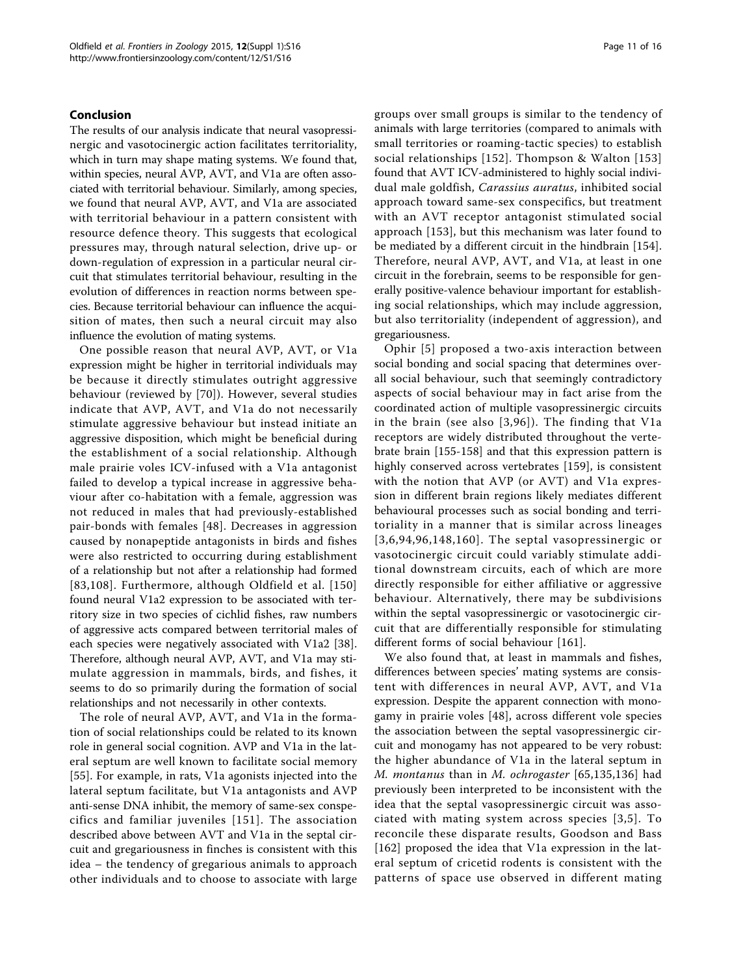### Conclusion

The results of our analysis indicate that neural vasopressinergic and vasotocinergic action facilitates territoriality, which in turn may shape mating systems. We found that, within species, neural AVP, AVT, and V1a are often associated with territorial behaviour. Similarly, among species, we found that neural AVP, AVT, and V1a are associated with territorial behaviour in a pattern consistent with resource defence theory. This suggests that ecological pressures may, through natural selection, drive up- or down-regulation of expression in a particular neural circuit that stimulates territorial behaviour, resulting in the evolution of differences in reaction norms between species. Because territorial behaviour can influence the acquisition of mates, then such a neural circuit may also influence the evolution of mating systems.

One possible reason that neural AVP, AVT, or V1a expression might be higher in territorial individuals may be because it directly stimulates outright aggressive behaviour (reviewed by [[70](#page-13-0)]). However, several studies indicate that AVP, AVT, and V1a do not necessarily stimulate aggressive behaviour but instead initiate an aggressive disposition, which might be beneficial during the establishment of a social relationship. Although male prairie voles ICV-infused with a V1a antagonist failed to develop a typical increase in aggressive behaviour after co-habitation with a female, aggression was not reduced in males that had previously-established pair-bonds with females [[48\]](#page-12-0). Decreases in aggression caused by nonapeptide antagonists in birds and fishes were also restricted to occurring during establishment of a relationship but not after a relationship had formed [[83,](#page-13-0)[108\]](#page-14-0). Furthermore, although Oldfield et al. [[150](#page-15-0)] found neural V1a2 expression to be associated with territory size in two species of cichlid fishes, raw numbers of aggressive acts compared between territorial males of each species were negatively associated with V1a2 [[38](#page-12-0)]. Therefore, although neural AVP, AVT, and V1a may stimulate aggression in mammals, birds, and fishes, it seems to do so primarily during the formation of social relationships and not necessarily in other contexts.

The role of neural AVP, AVT, and V1a in the formation of social relationships could be related to its known role in general social cognition. AVP and V1a in the lateral septum are well known to facilitate social memory [[55\]](#page-13-0). For example, in rats, V1a agonists injected into the lateral septum facilitate, but V1a antagonists and AVP anti-sense DNA inhibit, the memory of same-sex conspecifics and familiar juveniles [[151](#page-15-0)]. The association described above between AVT and V1a in the septal circuit and gregariousness in finches is consistent with this idea – the tendency of gregarious animals to approach other individuals and to choose to associate with large groups over small groups is similar to the tendency of animals with large territories (compared to animals with small territories or roaming-tactic species) to establish social relationships [[152\]](#page-15-0). Thompson & Walton [[153](#page-15-0)] found that AVT ICV-administered to highly social individual male goldfish, Carassius auratus, inhibited social approach toward same-sex conspecifics, but treatment with an AVT receptor antagonist stimulated social approach [\[153\]](#page-15-0), but this mechanism was later found to be mediated by a different circuit in the hindbrain [\[154](#page-15-0)]. Therefore, neural AVP, AVT, and V1a, at least in one circuit in the forebrain, seems to be responsible for generally positive-valence behaviour important for establishing social relationships, which may include aggression, but also territoriality (independent of aggression), and gregariousness.

Ophir [[5](#page-12-0)] proposed a two-axis interaction between social bonding and social spacing that determines overall social behaviour, such that seemingly contradictory aspects of social behaviour may in fact arise from the coordinated action of multiple vasopressinergic circuits in the brain (see also [[3](#page-12-0),[96\]](#page-14-0)). The finding that V1a receptors are widely distributed throughout the vertebrate brain [[155-158\]](#page-15-0) and that this expression pattern is highly conserved across vertebrates [[159\]](#page-15-0), is consistent with the notion that AVP (or AVT) and V1a expression in different brain regions likely mediates different behavioural processes such as social bonding and territoriality in a manner that is similar across lineages [[3,6](#page-12-0),[94,](#page-13-0)[96](#page-14-0),[148](#page-15-0),[160](#page-15-0)]. The septal vasopressinergic or vasotocinergic circuit could variably stimulate additional downstream circuits, each of which are more directly responsible for either affiliative or aggressive behaviour. Alternatively, there may be subdivisions within the septal vasopressinergic or vasotocinergic circuit that are differentially responsible for stimulating different forms of social behaviour [[161\]](#page-15-0).

We also found that, at least in mammals and fishes, differences between species' mating systems are consistent with differences in neural AVP, AVT, and V1a expression. Despite the apparent connection with monogamy in prairie voles [[48\]](#page-12-0), across different vole species the association between the septal vasopressinergic circuit and monogamy has not appeared to be very robust: the higher abundance of V1a in the lateral septum in M. montanus than in M. ochrogaster [[65,](#page-13-0)[135,136](#page-14-0)] had previously been interpreted to be inconsistent with the idea that the septal vasopressinergic circuit was associated with mating system across species [[3,5\]](#page-12-0). To reconcile these disparate results, Goodson and Bass [[162](#page-15-0)] proposed the idea that V1a expression in the lateral septum of cricetid rodents is consistent with the patterns of space use observed in different mating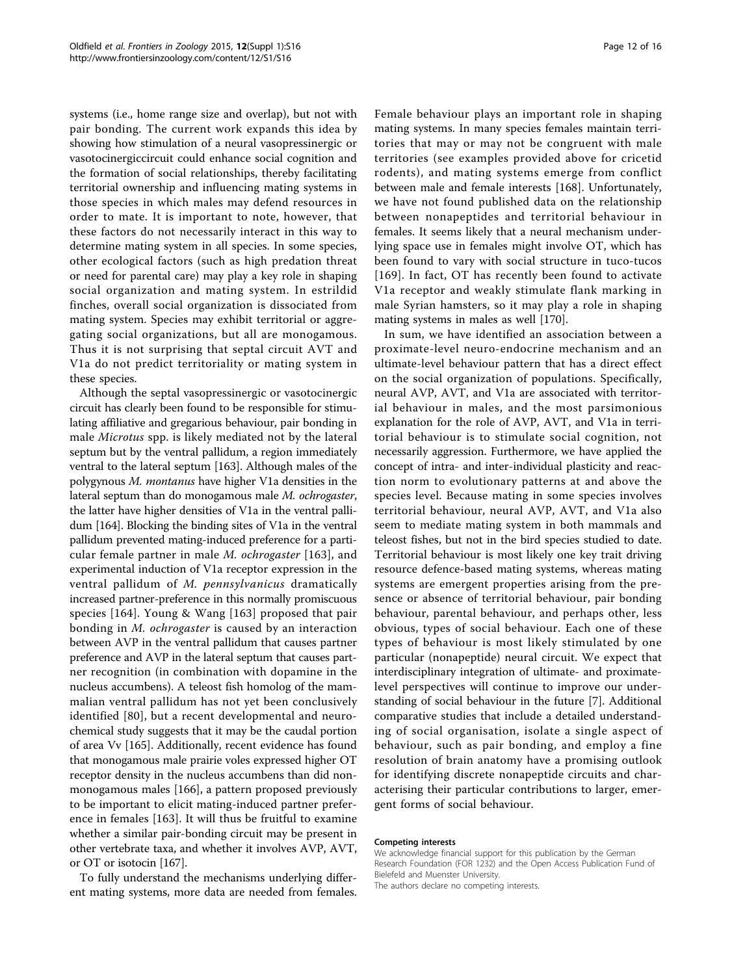systems (i.e., home range size and overlap), but not with pair bonding. The current work expands this idea by showing how stimulation of a neural vasopressinergic or vasotocinergiccircuit could enhance social cognition and the formation of social relationships, thereby facilitating territorial ownership and influencing mating systems in those species in which males may defend resources in order to mate. It is important to note, however, that these factors do not necessarily interact in this way to determine mating system in all species. In some species, other ecological factors (such as high predation threat or need for parental care) may play a key role in shaping social organization and mating system. In estrildid finches, overall social organization is dissociated from mating system. Species may exhibit territorial or aggregating social organizations, but all are monogamous. Thus it is not surprising that septal circuit AVT and V1a do not predict territoriality or mating system in these species.

Although the septal vasopressinergic or vasotocinergic circuit has clearly been found to be responsible for stimulating affiliative and gregarious behaviour, pair bonding in male Microtus spp. is likely mediated not by the lateral septum but by the ventral pallidum, a region immediately ventral to the lateral septum [[163](#page-15-0)]. Although males of the polygynous M. montanus have higher V1a densities in the lateral septum than do monogamous male M. ochrogaster, the latter have higher densities of V1a in the ventral pallidum [[164](#page-15-0)]. Blocking the binding sites of V1a in the ventral pallidum prevented mating-induced preference for a particular female partner in male M. ochrogaster [[163](#page-15-0)], and experimental induction of V1a receptor expression in the ventral pallidum of M. pennsylvanicus dramatically increased partner-preference in this normally promiscuous species [[164](#page-15-0)]. Young & Wang [[163](#page-15-0)] proposed that pair bonding in M. ochrogaster is caused by an interaction between AVP in the ventral pallidum that causes partner preference and AVP in the lateral septum that causes partner recognition (in combination with dopamine in the nucleus accumbens). A teleost fish homolog of the mammalian ventral pallidum has not yet been conclusively identified [[80\]](#page-13-0), but a recent developmental and neurochemical study suggests that it may be the caudal portion of area Vv [[165\]](#page-15-0). Additionally, recent evidence has found that monogamous male prairie voles expressed higher OT receptor density in the nucleus accumbens than did nonmonogamous males [[166\]](#page-15-0), a pattern proposed previously to be important to elicit mating-induced partner preference in females [\[163](#page-15-0)]. It will thus be fruitful to examine whether a similar pair-bonding circuit may be present in other vertebrate taxa, and whether it involves AVP, AVT, or OT or isotocin [[167](#page-15-0)].

To fully understand the mechanisms underlying different mating systems, more data are needed from females.

Female behaviour plays an important role in shaping mating systems. In many species females maintain territories that may or may not be congruent with male territories (see examples provided above for cricetid rodents), and mating systems emerge from conflict between male and female interests [\[168](#page-15-0)]. Unfortunately, we have not found published data on the relationship between nonapeptides and territorial behaviour in females. It seems likely that a neural mechanism underlying space use in females might involve OT, which has been found to vary with social structure in tuco-tucos [[169\]](#page-15-0). In fact, OT has recently been found to activate V1a receptor and weakly stimulate flank marking in male Syrian hamsters, so it may play a role in shaping mating systems in males as well [\[170](#page-15-0)].

In sum, we have identified an association between a proximate-level neuro-endocrine mechanism and an ultimate-level behaviour pattern that has a direct effect on the social organization of populations. Specifically, neural AVP, AVT, and V1a are associated with territorial behaviour in males, and the most parsimonious explanation for the role of AVP, AVT, and V1a in territorial behaviour is to stimulate social cognition, not necessarily aggression. Furthermore, we have applied the concept of intra- and inter-individual plasticity and reaction norm to evolutionary patterns at and above the species level. Because mating in some species involves territorial behaviour, neural AVP, AVT, and V1a also seem to mediate mating system in both mammals and teleost fishes, but not in the bird species studied to date. Territorial behaviour is most likely one key trait driving resource defence-based mating systems, whereas mating systems are emergent properties arising from the presence or absence of territorial behaviour, pair bonding behaviour, parental behaviour, and perhaps other, less obvious, types of social behaviour. Each one of these types of behaviour is most likely stimulated by one particular (nonapeptide) neural circuit. We expect that interdisciplinary integration of ultimate- and proximatelevel perspectives will continue to improve our understanding of social behaviour in the future [\[7\]](#page-12-0). Additional comparative studies that include a detailed understanding of social organisation, isolate a single aspect of behaviour, such as pair bonding, and employ a fine resolution of brain anatomy have a promising outlook for identifying discrete nonapeptide circuits and characterising their particular contributions to larger, emergent forms of social behaviour.

#### Competing interests

We acknowledge financial support for this publication by the German Research Foundation (FOR 1232) and the Open Access Publication Fund of Bielefeld and Muenster University.

The authors declare no competing interests.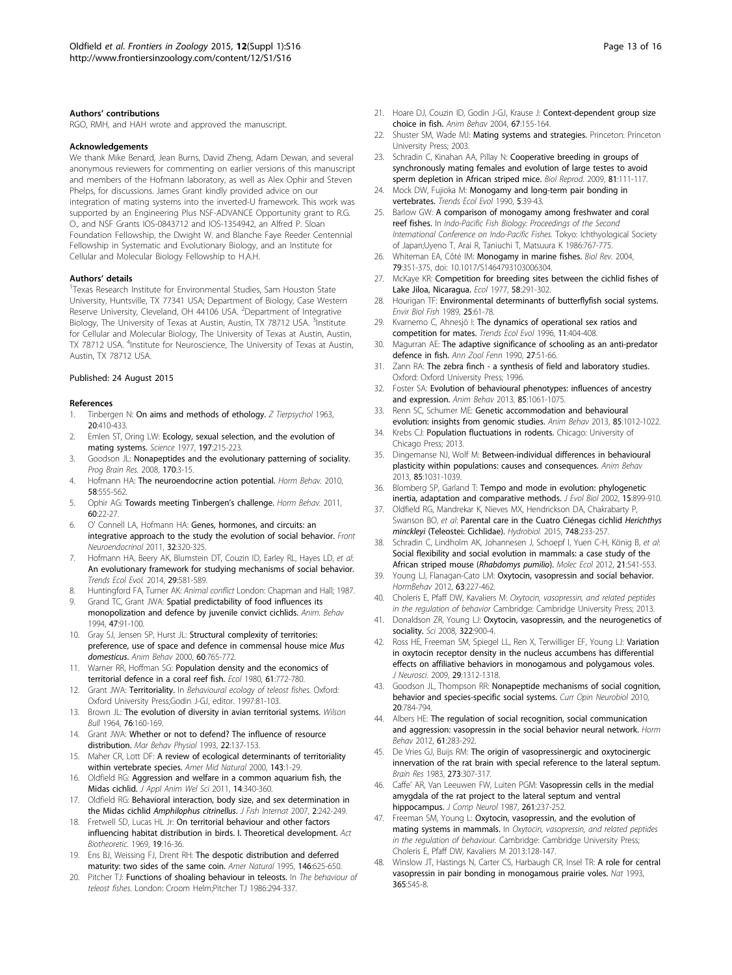#### <span id="page-12-0"></span>Authors' contributions

RGO, RMH, and HAH wrote and approved the manuscript.

#### Acknowledgements

We thank Mike Benard, Jean Burns, David Zheng, Adam Dewan, and several anonymous reviewers for commenting on earlier versions of this manuscript and members of the Hofmann laboratory, as well as Alex Ophir and Steven Phelps, for discussions. James Grant kindly provided advice on our integration of mating systems into the inverted-U framework. This work was supported by an Engineering Plus NSF-ADVANCE Opportunity grant to R.G. O., and NSF Grants IOS-0843712 and IOS-1354942, an Alfred P. Sloan Foundation Fellowship, the Dwight W. and Blanche Faye Reeder Centennial Fellowship in Systematic and Evolutionary Biology, and an Institute for Cellular and Molecular Biology Fellowship to H.A.H.

#### Authors' details <sup>1</sup>

<sup>1</sup>Texas Research Institute for Environmental Studies, Sam Houston State University, Huntsville, TX 77341 USA; Department of Biology, Case Western Reserve University, Cleveland, OH 44106 USA. <sup>2</sup>Department of Integrative Biology, The University of Texas at Austin, Austin, TX 78712 USA. <sup>3</sup>Institute for Cellular and Molecular Biology, The University of Texas at Austin, Austin, TX 78712 USA. <sup>4</sup>Institute for Neuroscience, The University of Texas at Austin, Austin, TX 78712 USA.

#### Published: 24 August 2015

#### References

- Tinbergen N: On aims and methods of ethology. Z Tierpsychol 1963, 20:410-433.
- 2. Emlen ST, Oring LW: [Ecology, sexual selection, and the evolution of](http://www.ncbi.nlm.nih.gov/pubmed/327542?dopt=Abstract) [mating systems.](http://www.ncbi.nlm.nih.gov/pubmed/327542?dopt=Abstract) Science 1977, 197:215-223.
- 3. Goodson JL: [Nonapeptides and the evolutionary patterning of sociality.](http://www.ncbi.nlm.nih.gov/pubmed/18655867?dopt=Abstract) Prog Brain Res. 2008, 170:3-15.
- 4. Hofmann HA: [The neuroendocrine action potential.](http://www.ncbi.nlm.nih.gov/pubmed/20600047?dopt=Abstract) Horm Behav. 2010, 58:555-562.
- 5. Ophir AG: [Towards meeting Tinbergen](http://www.ncbi.nlm.nih.gov/pubmed/21497602?dopt=Abstract)'s challenge. Horm Behav. 2011, 60:22-27.
- 6. O' Connell LA, Hofmann HA: [Genes, hormones, and circuits: an](http://www.ncbi.nlm.nih.gov/pubmed/21163292?dopt=Abstract) [integrative approach to the study the evolution of social behavior.](http://www.ncbi.nlm.nih.gov/pubmed/21163292?dopt=Abstract) Front Neuroendocrinol 2011, 32:320-325.
- 7. Hofmann HA, Beery AK, Blumstein DT, Couzin ID, Earley RL, Hayes LD, et al: [An evolutionary framework for studying mechanisms of social behavior.](http://www.ncbi.nlm.nih.gov/pubmed/25154769?dopt=Abstract) Trends Ecol Evol. 2014, 29:581-589.
- 8. Huntingford FA, Turner AK: Animal conflict London: Chapman and Hall; 1987.
- Grand TC, Grant JWA: Spatial predictability of food influences its monopolization and defence by juvenile convict cichlids. Anim. Behav 1994, 47:91-100.
- 10. Gray SJ, Jensen SP, Hurst JL: [Structural complexity of territories:](http://www.ncbi.nlm.nih.gov/pubmed/11124874?dopt=Abstract) [preference, use of space and defence in commensal house mice](http://www.ncbi.nlm.nih.gov/pubmed/11124874?dopt=Abstract) Mus [domesticus](http://www.ncbi.nlm.nih.gov/pubmed/11124874?dopt=Abstract). Anim Behav 2000, 60:765-772.
- 11. Warner RR, Hoffman SG: Population density and the economics of territorial defence in a coral reef fish. Ecol 1980, 61:772-780.
- 12. Grant JWA: Territoriality. In Behavioural ecology of teleost fishes. Oxford: Oxford University Press;Godin J-GJ, editor. 1997:81-103.
- 13. Brown JL: The evolution of diversity in avian territorial systems. Wilson Bull 1964, 76:160-169.
- 14. Grant JWA: Whether or not to defend? The influence of resource distribution. Mar Behav Physiol 1993, 22:137-153.
- 15. Maher CR, Lott DF: A review of ecological determinants of territoriality within vertebrate species. Amer Mid Natural 2000, 143:1-29.
- 16. Oldfield RG: Aggression and welfare in a common aquarium fish, the Midas cichlid. J Appl Anim Wel Sci 2011, 14:340-360.
- 17. Oldfield RG: Behavioral interaction, body size, and sex determination in the Midas cichlid Amphilophus citrinellus. J Fish Internat 2007, 2:242-249.
- 18. Fretwell SD, Lucas HL Jr: On territorial behaviour and other factors influencing habitat distribution in birds. I. Theoretical development. Act Biotheoretic. 1969, 19:16-36.
- 19. Ens BJ, Weissing FJ, Drent RH: The despotic distribution and deferred maturity: two sides of the same coin. Amer Natural 1995, 146:625-650.
- 20. Pitcher TJ: Functions of shoaling behaviour in teleosts. In The behaviour of teleost fishes. London: Croom Helm;Pitcher TJ 1986:294-337.
- 21. Hoare DJ, Couzin ID, Godin J-GJ, Krause J: Context-dependent group size choice in fish. Anim Behav 2004, 67:155-164.
- 22. Shuster SM, Wade MJ: Mating systems and strategies. Princeton: Princeton University Press; 2003.
- 23. Schradin C, Kinahan AA, Pillay N: [Cooperative breeding in groups of](http://www.ncbi.nlm.nih.gov/pubmed/19264699?dopt=Abstract) [synchronously mating females and evolution of large testes to avoid](http://www.ncbi.nlm.nih.gov/pubmed/19264699?dopt=Abstract) [sperm depletion in African striped mice.](http://www.ncbi.nlm.nih.gov/pubmed/19264699?dopt=Abstract) Biol Reprod. 2009, 81:111-117.
- 24. Mock DW, Fujioka M: [Monogamy and long-term pair bonding in](http://www.ncbi.nlm.nih.gov/pubmed/21232318?dopt=Abstract) [vertebrates.](http://www.ncbi.nlm.nih.gov/pubmed/21232318?dopt=Abstract) Trends Ecol Evol 1990, 5:39-43.
- 25. Barlow GW: A comparison of monogamy among freshwater and coral reef fishes. In Indo-Pacific Fish Biology: Proceedings of the Second International Conference on Indo-Pacific Fishes. Tokyo: Ichthyological Society of Japan;Uyeno T, Arai R, Taniuchi T, Matsuura K 1986:767-775.
- 26. Whiteman EA, Côté IM: [Monogamy in marine fishes.](http://www.ncbi.nlm.nih.gov/pubmed/15191228?dopt=Abstract) Biol Rev. 2004, 79:351-375, doi: 10.1017/S1464793103006304.
- 27. McKaye KR: Competition for breeding sites between the cichlid fishes of Lake Jiloa, Nicaragua. Ecol 1977, 58:291-302.
- 28. Hourigan TF: Environmental determinants of butterflyfish social systems. Envir Biol Fish 1989, 25:61-78.
- 29. Kvarnemo C, Ahnesjö I: [The dynamics of operational sex ratios and](http://www.ncbi.nlm.nih.gov/pubmed/21237898?dopt=Abstract) [competition for mates.](http://www.ncbi.nlm.nih.gov/pubmed/21237898?dopt=Abstract) Trends Ecol Evol 1996, 11:404-408.
- 30. Magurran AE: The adaptive significance of schooling as an anti-predator defence in fish. Ann Zool Fenn 1990, 27:51-66.
- 31. Zann RA: The zebra finch a synthesis of field and laboratory studies. Oxford: Oxford University Press; 1996.
- 32. Foster SA: Evolution of behavioural phenotypes: influences of ancestry and expression. Anim Behav 2013, 85:1061-1075.
- 33. Renn SC, Schumer ME: Genetic accommodation and behavioural evolution: insights from genomic studies. Anim Behav 2013, 85:1012-1022.
- 34. Krebs CJ: Population fluctuations in rodents. Chicago: University of Chicago Press; 2013.
- 35. Dingemanse NJ, Wolf M: Between-individual differences in behavioural plasticity within populations: causes and consequences. Anim Behav 2013, 85:1031-1039.
- 36. Blomberg SP, Garland T: Tempo and mode in evolution: phylogenetic inertia, adaptation and comparative methods. J Evol Biol 2002, 15:899-910.
- 37. Oldfield RG, Mandrekar K, Nieves MX, Hendrickson DA, Chakrabarty P, Swanson BO, et al: Parental care in the Cuatro Ciénegas cichlid Herichthys minckleyi (Teleostei: Cichlidae). Hydrobiol. 2015, 748:233-257.
- 38. Schradin C, Lindholm AK, Johannesen J, Schoepf I, Yuen C-H, König B, et al: Social flexibility and social evolution in mammals: a case study of the African striped mouse (Rhabdomys pumilio). Molec Ecol 2012, 21:541-553.
- 39. Young LJ, Flanagan-Cato LM: Oxytocin, vasopressin and social behavior. HormBehav 2012, 63:227-462.
- 40. Choleris E, Pfaff DW, Kavaliers M: Oxytocin, vasopressin, and related peptides in the regulation of behavior Cambridge: Cambridge University Press; 2013.
- 41. Donaldson ZR, Young LJ: Oxytocin, vasopressin, and the neurogenetics of sociality. Sci 2008, 322:900-4.
- 42. Ross HE, Freeman SM, Spiegel LL, Ren X, Terwilliger EF, Young LJ: [Variation](http://www.ncbi.nlm.nih.gov/pubmed/19193878?dopt=Abstract) [in oxytocin receptor density in the nucleus accumbens has differential](http://www.ncbi.nlm.nih.gov/pubmed/19193878?dopt=Abstract) [effects on affiliative behaviors in monogamous and polygamous voles.](http://www.ncbi.nlm.nih.gov/pubmed/19193878?dopt=Abstract) J Neurosci. 2009, 29:1312-1318.
- 43. Goodson JL, Thompson RR: [Nonapeptide mechanisms of social cognition,](http://www.ncbi.nlm.nih.gov/pubmed/20850965?dopt=Abstract) [behavior and species-specific social systems.](http://www.ncbi.nlm.nih.gov/pubmed/20850965?dopt=Abstract) Curr Opin Neurobiol 2010, 20:784-794.
- 44. Albers HE: [The regulation of social recognition, social communication](http://www.ncbi.nlm.nih.gov/pubmed/22079778?dopt=Abstract) [and aggression: vasopressin in the social behavior neural network.](http://www.ncbi.nlm.nih.gov/pubmed/22079778?dopt=Abstract) Horm Behav 2012, 61:283-292.
- 45. De Vries GJ, Buijs RM: [The origin of vasopressinergic and oxytocinergic](http://www.ncbi.nlm.nih.gov/pubmed/6311351?dopt=Abstract) [innervation of the rat brain with special reference to the lateral septum.](http://www.ncbi.nlm.nih.gov/pubmed/6311351?dopt=Abstract) Brain Res 1983, 273:307-317.
- 46. Caffe' AR, Van Leeuwen FW, Luiten PGM: [Vasopressin cells in the medial](http://www.ncbi.nlm.nih.gov/pubmed/3305600?dopt=Abstract) [amygdala of the rat project to the lateral septum and ventral](http://www.ncbi.nlm.nih.gov/pubmed/3305600?dopt=Abstract) [hippocampus.](http://www.ncbi.nlm.nih.gov/pubmed/3305600?dopt=Abstract) J Comp Neurol 1987, 261:237-252.
- 47. Freeman SM, Young L: Oxytocin, vasopressin, and the evolution of mating systems in mammals. In Oxytocin, vasopressin, and related peptides in the regulation of behaviour. Cambridge: Cambridge University Press; Choleris E, Pfaff DW, Kavaliers M 2013:128-147.
- 48. Winslow JT, Hastings N, Carter CS, Harbaugh CR, Insel TR: A role for central vasopressin in pair bonding in monogamous prairie voles. Nat 1993, 365:545-8.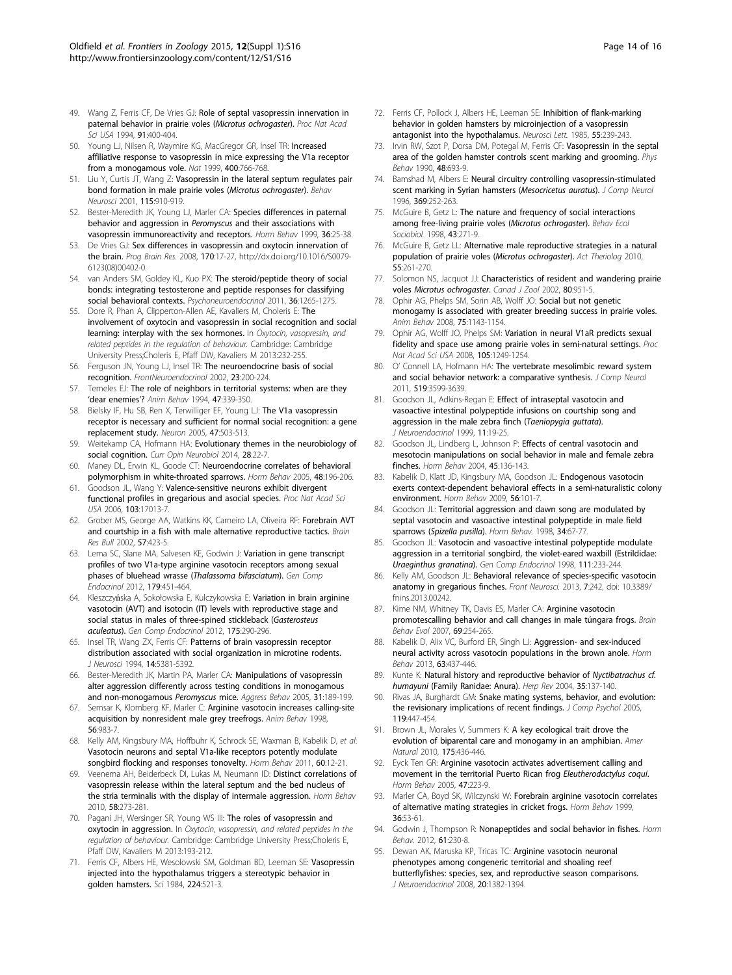- <span id="page-13-0"></span>49. Wang Z, Ferris CF, De Vries GJ: [Role of septal vasopressin innervation in](http://www.ncbi.nlm.nih.gov/pubmed/8278401?dopt=Abstract) [paternal behavior in prairie voles \(](http://www.ncbi.nlm.nih.gov/pubmed/8278401?dopt=Abstract)Microtus ochrogaster). Proc Nat Acad Sci USA 1994, 91:400-404.
- 50. Young LJ, Nilsen R, Waymire KG, MacGregor GR, Insel TR: Increased affiliative response to vasopressin in mice expressing the V1a receptor from a monogamous vole. Nat 1999, 400:766-768.
- 51. Liu Y, Curtis JT, Wang Z: [Vasopressin in the lateral septum regulates pair](http://www.ncbi.nlm.nih.gov/pubmed/11508730?dopt=Abstract) [bond formation in male prairie voles \(](http://www.ncbi.nlm.nih.gov/pubmed/11508730?dopt=Abstract)Microtus ochrogaster). Behav Neurosci 2001, 115:910-919.
- 52. Bester-Meredith JK, Young LJ, Marler CA: [Species differences in paternal](http://www.ncbi.nlm.nih.gov/pubmed/10433884?dopt=Abstract) [behavior and aggression in](http://www.ncbi.nlm.nih.gov/pubmed/10433884?dopt=Abstract) Peromyscus and their associations with [vasopressin immunoreactivity and receptors.](http://www.ncbi.nlm.nih.gov/pubmed/10433884?dopt=Abstract) Horm Behav 1999, 36:25-38.
- 53. De Vries GJ: [Sex differences in vasopressin and oxytocin innervation of](http://www.ncbi.nlm.nih.gov/pubmed/18655868?dopt=Abstract) [the brain.](http://www.ncbi.nlm.nih.gov/pubmed/18655868?dopt=Abstract) Prog Brain Res. 2008, 170:17-27, http://dx.doi.org/10.1016/S0079- 6123(08)00402-0.
- 54. van Anders SM, Goldey KL, Kuo PX: The steroid/peptide theory of social bonds: integrating testosterone and peptide responses for classifying social behavioral contexts. Psychoneuroendocrinol 2011, 36:1265-1275.
- 55. Dore R, Phan A, Clipperton-Allen AE, Kavaliers M, Choleris E: The involvement of oxytocin and vasopressin in social recognition and social learning: interplay with the sex hormones. In Oxytocin, vasopressin, and related peptides in the regulation of behaviour. Cambridge: Cambridge University Press;Choleris E, Pfaff DW, Kavaliers M 2013:232-255.
- 56. Ferguson JN, Young LJ, Insel TR: [The neuroendocrine basis of social](http://www.ncbi.nlm.nih.gov/pubmed/11950245?dopt=Abstract) [recognition.](http://www.ncbi.nlm.nih.gov/pubmed/11950245?dopt=Abstract) FrontNeuroendocrinol 2002, 23:200-224.
- 57. Temeles EJ: The role of neighbors in territorial systems: when are they 'dear enemies'? Anim Behav 1994, 47:339-350.
- 58. Bielsky IF, Hu SB, Ren X, Terwilliger EF, Young LJ: [The V1a vasopressin](http://www.ncbi.nlm.nih.gov/pubmed/16102534?dopt=Abstract) [receptor is necessary and sufficient for normal social recognition: a gene](http://www.ncbi.nlm.nih.gov/pubmed/16102534?dopt=Abstract) [replacement study.](http://www.ncbi.nlm.nih.gov/pubmed/16102534?dopt=Abstract) Neuron 2005, 47:503-513.
- 59. Weitekamp CA, Hofmann HA: [Evolutionary themes in the neurobiology of](http://www.ncbi.nlm.nih.gov/pubmed/24981873?dopt=Abstract) [social cognition.](http://www.ncbi.nlm.nih.gov/pubmed/24981873?dopt=Abstract) Curr Opin Neurobiol 2014, 28:22-7.
- 60. Maney DL, Erwin KL, Goode CT: [Neuroendocrine correlates of behavioral](http://www.ncbi.nlm.nih.gov/pubmed/15878570?dopt=Abstract) [polymorphism in white-throated sparrows.](http://www.ncbi.nlm.nih.gov/pubmed/15878570?dopt=Abstract) Horm Behav 2005, 48:196-206.
- 61. Goodson JL, Wang Y: [Valence-sensitive neurons exhibit divergent](http://www.ncbi.nlm.nih.gov/pubmed/17071744?dopt=Abstract) functional profiles [in gregarious and asocial species.](http://www.ncbi.nlm.nih.gov/pubmed/17071744?dopt=Abstract) Proc Nat Acad Sci USA 2006, 103:17013-7.
- 62. Grober MS, George AA, Watkins KK, Carneiro LA, Oliveira RF: [Forebrain AVT](http://www.ncbi.nlm.nih.gov/pubmed/11923002?dopt=Abstract) [and courtship in a fish with male alternative reproductive tactics.](http://www.ncbi.nlm.nih.gov/pubmed/11923002?dopt=Abstract) Brain Res Bull 2002, 57:423-5.
- 63. Lema SC, Slane MA, Salvesen KE, Godwin J: [Variation in gene transcript](http://www.ncbi.nlm.nih.gov/pubmed/23063433?dopt=Abstract) [profiles of two V1a-type arginine vasotocin receptors among sexual](http://www.ncbi.nlm.nih.gov/pubmed/23063433?dopt=Abstract) [phases of bluehead wrasse \(](http://www.ncbi.nlm.nih.gov/pubmed/23063433?dopt=Abstract)Thalassoma bifasciatum). Gen Comp Endocrinol 2012, 179:451-464.
- 64. Kleszczyńska A, Sokołowska E, Kulczykowska E: [Variation in brain arginine](http://www.ncbi.nlm.nih.gov/pubmed/22137910?dopt=Abstract) [vasotocin \(AVT\) and isotocin \(IT\) levels with reproductive stage and](http://www.ncbi.nlm.nih.gov/pubmed/22137910?dopt=Abstract) [social status in males of three-spined stickleback \(](http://www.ncbi.nlm.nih.gov/pubmed/22137910?dopt=Abstract)Gasterosteus [aculeatus](http://www.ncbi.nlm.nih.gov/pubmed/22137910?dopt=Abstract)). Gen Comp Endocrinol 2012, 175:290-296.
- 65. Insel TR, Wang ZX, Ferris CF: [Patterns of brain vasopressin receptor](http://www.ncbi.nlm.nih.gov/pubmed/8083743?dopt=Abstract) [distribution associated with social organization in microtine rodents.](http://www.ncbi.nlm.nih.gov/pubmed/8083743?dopt=Abstract) J Neurosci 1994, 14:5381-5392.
- 66. Bester-Meredith JK, Martin PA, Marler CA: Manipulations of vasopressin alter aggression differently across testing conditions in monogamous and non-monogamous Peromyscus mice. Aggress Behav 2005, 31:189-199.
- 67. Semsar K, Klomberg KF, Marler C: [Arginine vasotocin increases calling-site](http://www.ncbi.nlm.nih.gov/pubmed/9790709?dopt=Abstract) [acquisition by nonresident male grey treefrogs.](http://www.ncbi.nlm.nih.gov/pubmed/9790709?dopt=Abstract) Anim Behav 1998, 56:983-7.
- 68. Kelly AM, Kingsbury MA, Hoffbuhr K, Schrock SE, Waxman B, Kabelik D, et al: [Vasotocin neurons and septal V1a-like receptors potently modulate](http://www.ncbi.nlm.nih.gov/pubmed/21295577?dopt=Abstract) [songbird flocking and responses tonovelty.](http://www.ncbi.nlm.nih.gov/pubmed/21295577?dopt=Abstract) Horm Behav 2011, 60:12-21.
- 69. Veenema AH, Beiderbeck DI, Lukas M, Neumann ID: [Distinct correlations of](http://www.ncbi.nlm.nih.gov/pubmed/20298693?dopt=Abstract) [vasopressin release within the lateral septum and the bed nucleus of](http://www.ncbi.nlm.nih.gov/pubmed/20298693?dopt=Abstract) [the stria terminalis with the display of intermale aggression.](http://www.ncbi.nlm.nih.gov/pubmed/20298693?dopt=Abstract) Horm Behav 2010, 58:273-281.
- 70. Pagani JH, Wersinger SR, Young WS III: The roles of vasopressin and oxytocin in aggression. In Oxytocin, vasopressin, and related peptides in the regulation of behaviour. Cambridge: Cambridge University Press;Choleris E, Pfaff DW, Kavaliers M 2013:193-212.
- 71. Ferris CF, Albers HE, Wesolowski SM, Goldman BD, Leeman SE: Vasopressin injected into the hypothalamus triggers a stereotypic behavior in golden hamsters. Sci 1984, 224:521-3.
- 72. Ferris CF, Pollock J, Albers HE, Leeman SE: [Inhibition of flank-marking](http://www.ncbi.nlm.nih.gov/pubmed/4039806?dopt=Abstract) [behavior in golden hamsters by microinjection of a vasopressin](http://www.ncbi.nlm.nih.gov/pubmed/4039806?dopt=Abstract) [antagonist into the hypothalamus.](http://www.ncbi.nlm.nih.gov/pubmed/4039806?dopt=Abstract) Neurosci Lett. 1985, 55:239-243.
- 73. Irvin RW, Szot P, Dorsa DM, Potegal M, Ferris CF: Vasopressin in the septal area of the golden hamster controls scent marking and grooming. Phys Behav 1990, 48:693-9.
- 74. Bamshad M, Albers E: [Neural circuitry controlling vasopressin-stimulated](http://www.ncbi.nlm.nih.gov/pubmed/8726998?dopt=Abstract) [scent marking in Syrian hamsters \(](http://www.ncbi.nlm.nih.gov/pubmed/8726998?dopt=Abstract)Mesocricetus auratus). J Comp Neurol 1996, 369:252-263.
- 75. McGuire B, Getz L: The nature and frequency of social interactions among free-living prairie voles (Microtus ochrogaster). Behav Ecol Sociobiol. 1998. **43**:271-9.
- 76. McGuire B, Getz LL: Alternative male reproductive strategies in a natural population of prairie voles (Microtus ochrogaster). Act Theriolog 2010, 55:261-270.
- 77. Solomon NS, Jacquot JJ: Characteristics of resident and wandering prairie voles Microtus ochrogaster. Canad J Zool 2002, 80:951-5.
- 78. Ophir AG, Phelps SM, Sorin AB, Wolff JO: Social but not genetic monogamy is associated with greater breeding success in prairie voles. Anim Behav 2008, 75:1143-1154.
- 79. Ophir AG, Wolff JO, Phelps SM: [Variation in neural V1aR predicts sexual](http://www.ncbi.nlm.nih.gov/pubmed/18212120?dopt=Abstract) [fidelity and space use among prairie voles in semi-natural settings.](http://www.ncbi.nlm.nih.gov/pubmed/18212120?dopt=Abstract) Proc Nat Acad Sci USA 2008, 105:1249-1254.
- 80. O' Connell LA, Hofmann HA: [The vertebrate mesolimbic reward system](http://www.ncbi.nlm.nih.gov/pubmed/21800319?dopt=Abstract) [and social behavior network: a comparative synthesis.](http://www.ncbi.nlm.nih.gov/pubmed/21800319?dopt=Abstract) J Comp Neurol 2011, 519:3599-3639.
- 81. Goodson JL, Adkins-Regan E: [Effect of intraseptal vasotocin and](http://www.ncbi.nlm.nih.gov/pubmed/9918225?dopt=Abstract) [vasoactive intestinal polypeptide infusions on courtship song and](http://www.ncbi.nlm.nih.gov/pubmed/9918225?dopt=Abstract) [aggression in the male zebra finch \(](http://www.ncbi.nlm.nih.gov/pubmed/9918225?dopt=Abstract)Taeniopygia guttata). J Neuroendocrinol 1999, 11:19-25.
- 82. Goodson JL, Lindberg L, Johnson P: [Effects of central vasotocin and](http://www.ncbi.nlm.nih.gov/pubmed/15019801?dopt=Abstract) [mesotocin manipulations on social behavior in male and female zebra](http://www.ncbi.nlm.nih.gov/pubmed/15019801?dopt=Abstract) [finches.](http://www.ncbi.nlm.nih.gov/pubmed/15019801?dopt=Abstract) Horm Behav 2004, 45:136-143.
- 83. Kabelik D, Klatt JD, Kingsbury MA, Goodson JL: [Endogenous vasotocin](http://www.ncbi.nlm.nih.gov/pubmed/19341739?dopt=Abstract) [exerts context-dependent behavioral effects in a semi-naturalistic colony](http://www.ncbi.nlm.nih.gov/pubmed/19341739?dopt=Abstract) [environment.](http://www.ncbi.nlm.nih.gov/pubmed/19341739?dopt=Abstract) Horm Behav 2009, 56:101-7.
- 84. Goodson JL: [Territorial aggression and dawn song are modulated by](http://www.ncbi.nlm.nih.gov/pubmed/9735230?dopt=Abstract) [septal vasotocin and vasoactive intestinal polypeptide in male field](http://www.ncbi.nlm.nih.gov/pubmed/9735230?dopt=Abstract) sparrows ([Spizella pusilla](http://www.ncbi.nlm.nih.gov/pubmed/9735230?dopt=Abstract)). Horm Behav. 1998, 34:67-77
- 85. Goodson JL: [Vasotocin and vasoactive intestinal polypeptide modulate](http://www.ncbi.nlm.nih.gov/pubmed/9679095?dopt=Abstract) aggression in [a territorial songbird, the violet-eared waxbill \(Estrildidae:](http://www.ncbi.nlm.nih.gov/pubmed/9679095?dopt=Abstract) [Uraeginthus granatina](http://www.ncbi.nlm.nih.gov/pubmed/9679095?dopt=Abstract)). Gen Comp Endocrinol 1998, 111:233-244
- 86. Kelly AM, Goodson JL: [Behavioral relevance of species-specific vasotocin](http://www.ncbi.nlm.nih.gov/pubmed/24381536?dopt=Abstract) [anatomy in gregarious finches.](http://www.ncbi.nlm.nih.gov/pubmed/24381536?dopt=Abstract) Front Neurosci. 2013, 7:242, doi: 10.3389/ fnins.2013.00242.
- 87. Kime NM, Whitney TK, Davis ES, Marler CA: [Arginine vasotocin](http://www.ncbi.nlm.nih.gov/pubmed/17299257?dopt=Abstract) [promotescalling behavior and call changes in male túngara frogs.](http://www.ncbi.nlm.nih.gov/pubmed/17299257?dopt=Abstract) Brain Behav Evol 2007, 69:254-265.
- 88. Kabelik D, Alix VC, Burford ER, Singh LJ: [Aggression- and sex-induced](http://www.ncbi.nlm.nih.gov/pubmed/23201179?dopt=Abstract) [neural activity across vasotocin populations in the brown anole.](http://www.ncbi.nlm.nih.gov/pubmed/23201179?dopt=Abstract) Horm Behav 2013, 63:437-446.
- 89. Kunte K: Natural history and reproductive behavior of Nyctibatrachus cf. humayuni (Family Ranidae: Anura). Herp Rev 2004, 35:137-140.
- 90. Rivas JA, Burghardt GM: [Snake mating systems, behavior, and evolution:](http://www.ncbi.nlm.nih.gov/pubmed/16366778?dopt=Abstract) [the revisionary implications of recent findings.](http://www.ncbi.nlm.nih.gov/pubmed/16366778?dopt=Abstract) J Comp Psychol 2005, 119:447-454.
- 91. Brown JL, Morales V, Summers K: A key ecological trait drove the evolution of biparental care and monogamy in an amphibian. Amer Natural 2010, 175:436-446.
- 92. Eyck Ten GR: [Arginine vasotocin activates advertisement calling and](http://www.ncbi.nlm.nih.gov/pubmed/15664026?dopt=Abstract) [movement in the territorial Puerto Rican frog](http://www.ncbi.nlm.nih.gov/pubmed/15664026?dopt=Abstract) Eleutherodactylus coqui. Horm Behav 2005, 47:223-9.
- 93. Marler CA, Boyd SK, Wilczynski W: [Forebrain arginine vasotocin correlates](http://www.ncbi.nlm.nih.gov/pubmed/10433886?dopt=Abstract) [of alternative mating strategies in cricket frogs.](http://www.ncbi.nlm.nih.gov/pubmed/10433886?dopt=Abstract) Horm Behav 1999, 36:53-61.
- 94. Godwin J, Thompson R: [Nonapeptides and social behavior in fishes.](http://www.ncbi.nlm.nih.gov/pubmed/22285647?dopt=Abstract) Horm Behav. 2012, 61:230-8.
- 95. Dewan AK, Maruska KP, Tricas TC: [Arginine vasotocin neuronal](http://www.ncbi.nlm.nih.gov/pubmed/19094086?dopt=Abstract) [phenotypes among congeneric territorial and shoaling reef](http://www.ncbi.nlm.nih.gov/pubmed/19094086?dopt=Abstract) [butterflyfishes: species, sex, and reproductive season comparisons.](http://www.ncbi.nlm.nih.gov/pubmed/19094086?dopt=Abstract) J Neuroendocrinol 2008, 20:1382-1394.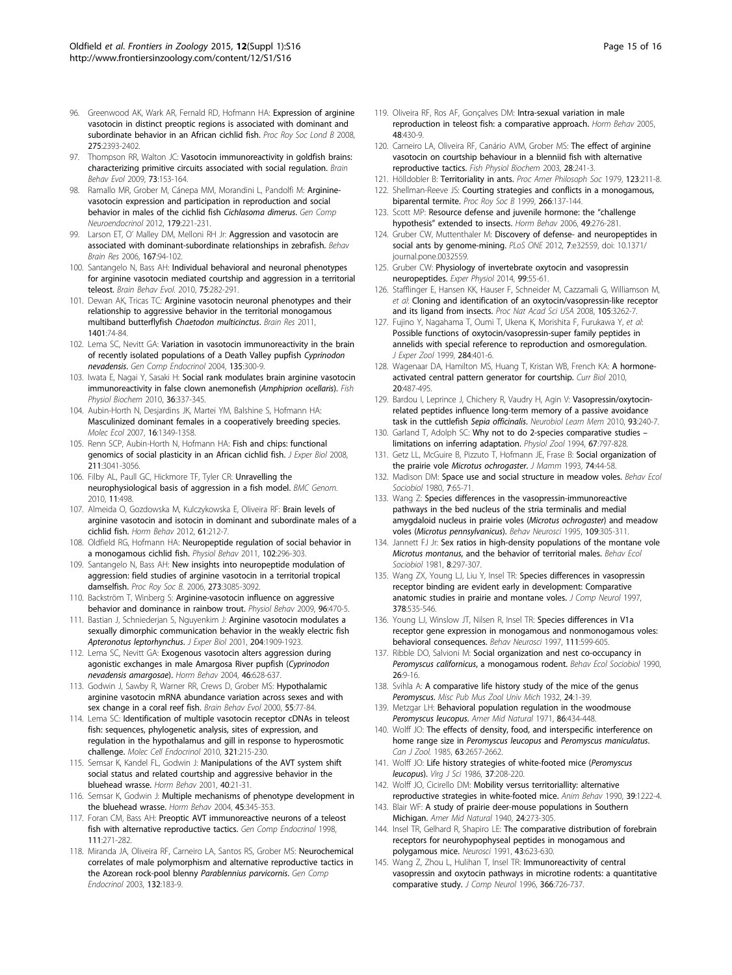- <span id="page-14-0"></span>96. Greenwood AK, Wark AR, Fernald RD, Hofmann HA: Expression of arginine vasotocin in distinct preoptic regions is associated with dominant and subordinate behavior in an African cichlid fish. Proc Roy Soc Lond B 2008, 275:2393-2402.
- 97. Thompson RR, Walton JC: [Vasotocin immunoreactivity in goldfish brains:](http://www.ncbi.nlm.nih.gov/pubmed/19468212?dopt=Abstract) [characterizing primitive circuits associated with social regulation.](http://www.ncbi.nlm.nih.gov/pubmed/19468212?dopt=Abstract) Brain Behav Evol 2009, 73:153-164.
- 98. Ramallo MR, Grober M, Cánepa MM, Morandini L, Pandolfi M: Argininevasotocin expression and participation in reproduction and social behavior in males of the cichlid fish Cichlasoma dimerus. Gen Comp Neuroendocrinol 2012, 179:221-231.
- 99. Larson ET, O' Malley DM, Melloni RH Jr: [Aggression and vasotocin are](http://www.ncbi.nlm.nih.gov/pubmed/16213035?dopt=Abstract) [associated with dominant-subordinate relationships in zebrafish.](http://www.ncbi.nlm.nih.gov/pubmed/16213035?dopt=Abstract) Behav Brain Res 2006, 167:94-102.
- 100. Santangelo N, Bass AH: [Individual behavioral and neuronal phenotypes](http://www.ncbi.nlm.nih.gov/pubmed/20693783?dopt=Abstract) [for arginine vasotocin mediated courtship and aggression in a territorial](http://www.ncbi.nlm.nih.gov/pubmed/20693783?dopt=Abstract) [teleost.](http://www.ncbi.nlm.nih.gov/pubmed/20693783?dopt=Abstract) Brain Behav Evol. 2010, 75:282-291.
- 101. Dewan AK, Tricas TC: [Arginine vasotocin neuronal phenotypes and their](http://www.ncbi.nlm.nih.gov/pubmed/21676381?dopt=Abstract) [relationship to aggressive behavior in the territorial monogamous](http://www.ncbi.nlm.nih.gov/pubmed/21676381?dopt=Abstract) multiband butterflyfish [Chaetodon multicinctus](http://www.ncbi.nlm.nih.gov/pubmed/21676381?dopt=Abstract). Brain Res 2011, 1401:74-84.
- 102. Lema SC, Nevitt GA: [Variation in vasotocin immunoreactivity in the brain](http://www.ncbi.nlm.nih.gov/pubmed/14723882?dopt=Abstract) [of recently isolated populations of a Death Valley pupfish](http://www.ncbi.nlm.nih.gov/pubmed/14723882?dopt=Abstract) Cyprinodon [nevadensis](http://www.ncbi.nlm.nih.gov/pubmed/14723882?dopt=Abstract). Gen Comp Endocrinol 2004, 135:300-9.
- 103. Iwata E, Nagai Y, Sasaki H: [Social rank modulates brain arginine vasotocin](http://www.ncbi.nlm.nih.gov/pubmed/19116767?dopt=Abstract) [immunoreactivity in false clown anemonefish \(](http://www.ncbi.nlm.nih.gov/pubmed/19116767?dopt=Abstract)Amphiprion ocellaris). Fish Physiol Biochem 2010, 36:337-345.
- 104. Aubin-Horth N, Desjardins JK, Martei YM, Balshine S, Hofmann HA: Masculinized dominant females in a cooperatively breeding species. Molec Ecol 2007, 16:1349-1358.
- 105. Renn SCP, Aubin-Horth N, Hofmann HA: Fish and chips: functional genomics of social plasticity in an African cichlid fish. J Exper Biol 2008, 211:3041-3056.
- 106. Filby AL, Paull GC, Hickmore TF, Tyler CR: Unravelling the neurophysiological basis of aggression in a fish model. BMC Genom. 2010, 11:498.
- 107. Almeida O, Gozdowska M, Kulczykowska E, Oliveira RF: [Brain levels of](http://www.ncbi.nlm.nih.gov/pubmed/22206822?dopt=Abstract) [arginine vasotocin and isotocin in dominant and subordinate males of a](http://www.ncbi.nlm.nih.gov/pubmed/22206822?dopt=Abstract) [cichlid fish.](http://www.ncbi.nlm.nih.gov/pubmed/22206822?dopt=Abstract) Horm Behav 2012, 61:212-7.
- 108. Oldfield RG, Hofmann HA: [Neuropeptide regulation of social behavior in](http://www.ncbi.nlm.nih.gov/pubmed/21112347?dopt=Abstract) [a monogamous cichlid fish.](http://www.ncbi.nlm.nih.gov/pubmed/21112347?dopt=Abstract) Physiol Behav 2011, 102:296-303.
- 109. Santangelo N, Bass AH: New insights into neuropeptide modulation of aggression: field studies of arginine vasotocin in a territorial tropical damselfish. Proc Roy Soc B. 2006, 273:3085-3092.
- 110. Backström T, Winberg S: [Arginine-vasotocin influence on aggressive](http://www.ncbi.nlm.nih.gov/pubmed/19087884?dopt=Abstract) [behavior and dominance in rainbow trout.](http://www.ncbi.nlm.nih.gov/pubmed/19087884?dopt=Abstract) Physiol Behav 2009, 96:470-5.
- 111. Bastian J, Schniederjan S, Nguyenkim J: [Arginine vasotocin modulates a](http://www.ncbi.nlm.nih.gov/pubmed/11441033?dopt=Abstract) [sexually dimorphic communication behavior in the weakly electric fish](http://www.ncbi.nlm.nih.gov/pubmed/11441033?dopt=Abstract) [Apteronotus leptorhynchus](http://www.ncbi.nlm.nih.gov/pubmed/11441033?dopt=Abstract). J Exper Biol 2001, 204:1909-1923.
- 112. Lema SC, Nevitt GA: [Exogenous vasotocin alters aggression during](http://www.ncbi.nlm.nih.gov/pubmed/15555505?dopt=Abstract) [agonistic exchanges in male Amargosa River pupfish \(](http://www.ncbi.nlm.nih.gov/pubmed/15555505?dopt=Abstract)Cyprinodon [nevadensis amargosae](http://www.ncbi.nlm.nih.gov/pubmed/15555505?dopt=Abstract)). Horm Behav 2004, 46:628-637.
- 113. Godwin J, Sawby R, Warner RR, Crews D, Grober MS: [Hypothalamic](http://www.ncbi.nlm.nih.gov/pubmed/10838478?dopt=Abstract) [arginine vasotocin mRNA abundance variation across sexes and with](http://www.ncbi.nlm.nih.gov/pubmed/10838478?dopt=Abstract) [sex change in a coral reef fish.](http://www.ncbi.nlm.nih.gov/pubmed/10838478?dopt=Abstract) Brain Behav Evol 2000, 55:77-84
- 114. Lema SC: [Identification of multiple vasotocin receptor cDNAs in teleost](http://www.ncbi.nlm.nih.gov/pubmed/20167249?dopt=Abstract) [fish: sequences, phylogenetic analysis, sites of expression, and](http://www.ncbi.nlm.nih.gov/pubmed/20167249?dopt=Abstract) [regulation in the hypothalamus and gill in response to hyperosmotic](http://www.ncbi.nlm.nih.gov/pubmed/20167249?dopt=Abstract) [challenge.](http://www.ncbi.nlm.nih.gov/pubmed/20167249?dopt=Abstract) Molec Cell Endocrinol 2010, 321:215-230.
- 115. Semsar K, Kandel FL, Godwin J: [Manipulations of the AVT system shift](http://www.ncbi.nlm.nih.gov/pubmed/11467881?dopt=Abstract) [social status and related courtship and aggressive behavior in the](http://www.ncbi.nlm.nih.gov/pubmed/11467881?dopt=Abstract) [bluehead wrasse.](http://www.ncbi.nlm.nih.gov/pubmed/11467881?dopt=Abstract) Horm Behav 2001, 40:21-31.
- 116. Semsar K, Godwin J: [Multiple mechanisms of phenotype development in](http://www.ncbi.nlm.nih.gov/pubmed/15109909?dopt=Abstract) [the bluehead wrasse.](http://www.ncbi.nlm.nih.gov/pubmed/15109909?dopt=Abstract) Horm Behav 2004, 45:345-353.
- 117. Foran CM, Bass AH: [Preoptic AVT immunoreactive neurons of a teleost](http://www.ncbi.nlm.nih.gov/pubmed/9707473?dopt=Abstract) [fish with alternative reproductive tactics.](http://www.ncbi.nlm.nih.gov/pubmed/9707473?dopt=Abstract) Gen Comp Endocrinol 1998, 111:271-282.
- 118. Miranda JA, Oliveira RF, Carneiro LA, Santos RS, Grober MS: [Neurochemical](http://www.ncbi.nlm.nih.gov/pubmed/12812764?dopt=Abstract) [correlates of male polymorphism and alternative reproductive tactics in](http://www.ncbi.nlm.nih.gov/pubmed/12812764?dopt=Abstract) [the Azorean rock-pool blenny](http://www.ncbi.nlm.nih.gov/pubmed/12812764?dopt=Abstract) Parablennius parvicornis. Gen Comp Endocrinol 2003, 132:183-9.
- 119. Oliveira RF, Ros AF, Gonçalves DM: [Intra-sexual variation in male](http://www.ncbi.nlm.nih.gov/pubmed/16045912?dopt=Abstract) [reproduction in teleost fish: a comparative approach.](http://www.ncbi.nlm.nih.gov/pubmed/16045912?dopt=Abstract) Horm Behav 2005, 48:430-9.
- 120. Carneiro LA, Oliveira RF, Canário AVM, Grober MS: The effect of arginine vasotocin on courtship behaviour in a blenniid fish with alternative reproductive tactics. Fish Physiol Biochem 2003, 28:241-3.
- 121. Hölldobler B: Territoriality in ants. Proc Amer Philosoph Soc 1979, 123:211-8.
- 122. Shellman-Reeve JS: Courting strategies and conflicts in a monogamous, biparental termite. Proc Roy Soc B 1999, 266:137-144. 123. Scott MP: [Resource defense and juvenile hormone: the](http://www.ncbi.nlm.nih.gov/pubmed/16087184?dopt=Abstract) "challenge
- hypothesis" [extended to insects.](http://www.ncbi.nlm.nih.gov/pubmed/16087184?dopt=Abstract) Horm Behav 2006, 49:276-281.
- 124. Gruber CW, Muttenthaler M: [Discovery of defense- and neuropeptides in](http://www.ncbi.nlm.nih.gov/pubmed/22448224?dopt=Abstract) [social ants by genome-mining.](http://www.ncbi.nlm.nih.gov/pubmed/22448224?dopt=Abstract) PLoS ONE 2012, 7:e32559, doi: 10.1371/ journal.pone.0032559.
- 125. Gruber CW: Physiology of invertebrate oxytocin and vasopressin neuropeptides. Exper Physiol 2014, 99:55-61.
- 126. Stafflinger E, Hansen KK, Hauser F, Schneider M, Cazzamali G, Williamson M, et al: [Cloning and identification of an oxytocin/vasopressin-like receptor](http://www.ncbi.nlm.nih.gov/pubmed/18316733?dopt=Abstract) [and its ligand from insects.](http://www.ncbi.nlm.nih.gov/pubmed/18316733?dopt=Abstract) Proc Nat Acad Sci USA 2008, 105:3262-7.
- 127. Fujino Y, Nagahama T, Oumi T, Ukena K, Morishita F, Furukawa Y, et al: Possible functions of oxytocin/vasopressin-super family peptides in annelids with special reference to reproduction and osmoregulation. J Exper Zool 1999, 284:401-6.
- 128. Wagenaar DA, Hamilton MS, Huang T, Kristan WB, French KA: [A hormone](http://www.ncbi.nlm.nih.gov/pubmed/20226670?dopt=Abstract)[activated central pattern generator for courtship.](http://www.ncbi.nlm.nih.gov/pubmed/20226670?dopt=Abstract) Curr Biol 2010, 20:487-495.
- 129. Bardou I, Leprince J, Chichery R, Vaudry H, Agin V: [Vasopressin/oxytocin](http://www.ncbi.nlm.nih.gov/pubmed/19857582?dopt=Abstract)[related peptides influence long-term memory of a passive avoidance](http://www.ncbi.nlm.nih.gov/pubmed/19857582?dopt=Abstract) [task in the cuttlefish](http://www.ncbi.nlm.nih.gov/pubmed/19857582?dopt=Abstract) Sepia officinalis. Neurobiol Learn Mem 2010, 93:240-7.
- 130. Garland T, Adolph SC: Why not to do 2-species comparative studies limitations on inferring adaptation. Physiol Zool 1994, 67:797-828.
- 131. Getz LL, McGuire B, Pizzuto T, Hofmann JE, Frase B: Social organization of the prairie vole Microtus ochrogaster. J Mamm 1993, 74:44-58.
- 132. Madison DM: Space use and social structure in meadow voles. Behav Ecol Sociobiol 1980, 7:65-71.
- 133. Wang Z: [Species differences in the vasopressin-immunoreactive](http://www.ncbi.nlm.nih.gov/pubmed/7619320?dopt=Abstract) [pathways in the bed nucleus of the stria terminalis and medial](http://www.ncbi.nlm.nih.gov/pubmed/7619320?dopt=Abstract) [amygdaloid nucleus in prairie voles \(](http://www.ncbi.nlm.nih.gov/pubmed/7619320?dopt=Abstract)Microtus ochrogaster) and meadow voles ([Microtus pennsylvanicus](http://www.ncbi.nlm.nih.gov/pubmed/7619320?dopt=Abstract)). Behav Neurosci 1995, 109:305-311.
- 134. Jannett FJ Jr: Sex ratios in high-density populations of the montane vole Microtus montanus, and the behavior of territorial males. Behav Ecol Sociobiol 1981, 8:297-307.
- 135. Wang ZX, Young LJ, Liu Y, Insel TR: [Species differences in vasopressin](http://www.ncbi.nlm.nih.gov/pubmed/9034909?dopt=Abstract) [receptor binding are evident early in development: Comparative](http://www.ncbi.nlm.nih.gov/pubmed/9034909?dopt=Abstract) [anatomic studies in prairie and montane voles.](http://www.ncbi.nlm.nih.gov/pubmed/9034909?dopt=Abstract) J Comp Neurol 1997, 378:535-546.
- 136. Young LJ, Winslow JT, Nilsen R, Insel TR: [Species differences in V1a](http://www.ncbi.nlm.nih.gov/pubmed/9189274?dopt=Abstract) [receptor gene expression in monogamous and nonmonogamous voles:](http://www.ncbi.nlm.nih.gov/pubmed/9189274?dopt=Abstract) [behavioral consequences.](http://www.ncbi.nlm.nih.gov/pubmed/9189274?dopt=Abstract) Behav Neurosci 1997, 111:599-605.
- 137. Ribble DO, Salvioni M: Social organization and nest co-occupancy in Peromyscus californicus, a monogamous rodent. Behav Ecol Sociobiol 1990, 26:9-16.
- 138. Svihla A: A comparative life history study of the mice of the genus Peromyscus. Misc Pub Mus Zool Univ Mich 1932, 24:1-39.
- 139. Metzgar LH: Behavioral population regulation in the woodmouse Peromyscus leucopus. Amer Mid Natural 1971, 86:434-448.
- 140. Wolff JO: The effects of density, food, and interspecific interference on home range size in Peromyscus leucopus and Peromyscus maniculatus. Can J Zool. 1985, 63:2657-2662.
- 141. Wolff JO: Life history strategies of white-footed mice (Peromyscus leucopus). Virg J Sci 1986, 37:208-220.
- 142. Wolff JO, Cicirello DM: Mobility versus territoriallity: alternative reproductive strategies in white-footed mice. Anim Behav 1990, 39:1222-4.
- 143. Blair WF: A study of prairie deer-mouse populations in Southern Michigan. Amer Mid Natural 1940, 24:273-305.
- 144. Insel TR, Gelhard R, Shapiro LE: The comparative distribution of forebrain receptors for neurohypophyseal peptides in monogamous and polygamous mice. Neurosci 1991, 43:623-630.
- 145. Wang Z, Zhou L, Hulihan T, Insel TR: [Immunoreactivity of central](http://www.ncbi.nlm.nih.gov/pubmed/8833119?dopt=Abstract) [vasopressin and oxytocin pathways in microtine rodents: a quantitative](http://www.ncbi.nlm.nih.gov/pubmed/8833119?dopt=Abstract) [comparative study.](http://www.ncbi.nlm.nih.gov/pubmed/8833119?dopt=Abstract) J Comp Neurol 1996, 366:726-737.